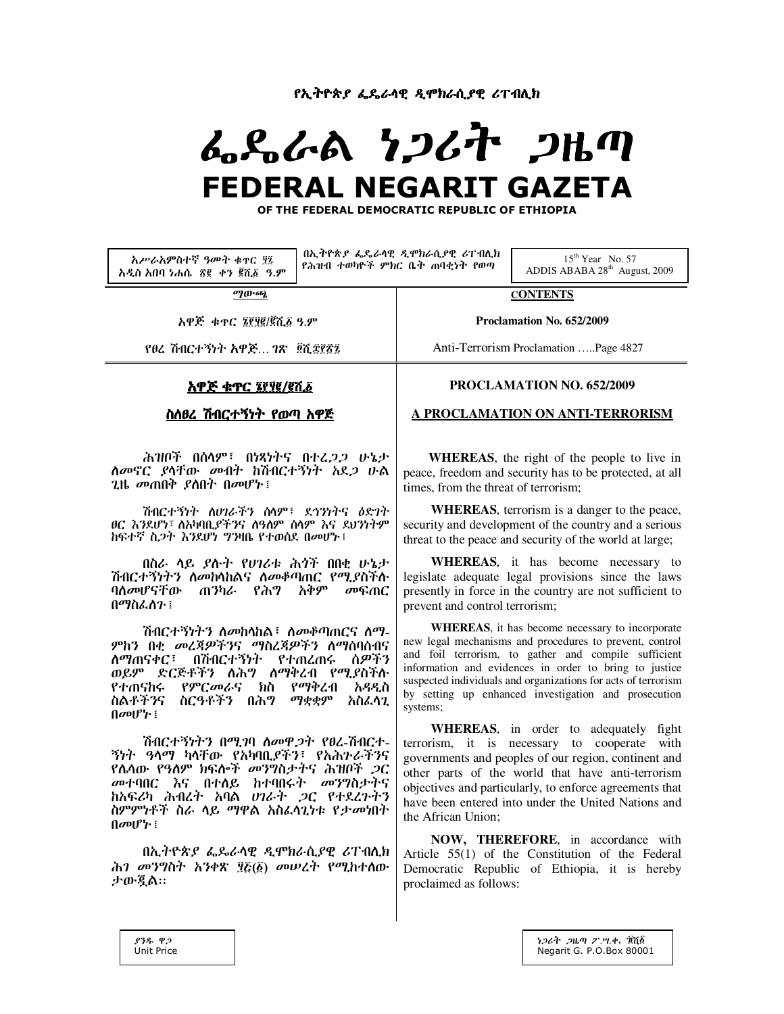የኢትዮጵያ ፌዴራሳዊ ዲሞክራሲያዊ ሪፐብሊክ

# ふらんめ りつんれ つはの **FEDERAL NEGARIT GAZETA**

OF THE FEDERAL DEMOCRATIC REPUBLIC OF ETHIOPIA

አሥራአምስተኛ ዓመት ቁዋር ሂ፤ አዲስ አበባ ነሐሴ ፳፪ ቀን ፪ሺ፩ ዓ.ም

በኢትዮጵያ ፌዴራሳዊ ዲሞክራሲያዊ ሪፐብሊክ የሕዝብ ተወካዮች ምክር ቤት ጠባቂነት የወጣ

 $15^{th}$  Year No. 57 ADDIS ABABA 28<sup>th</sup> August, 2009

ማውጫ

አዋጅ ቁጥር ፮፻፶፪/፪ሺ፩ ዓ.ም

የፀረ ሽብርተኝነት አዋጅ... ገጽ \_ ፬ሺ፰፻፳፯

# <u>አዋጅ ቁጥር ፮፻፶፪/፪ሺ፩</u>

# ስለፀረ ሽብርተኝነት የወጣ አዋጅ

ሕዝቦች በሰላም፣ በነጻነትና በተፈ*ጋጋ* ሁኔታ *ስመ*ኖር *ያ*ላቸው መብት ከሽብርተኝነት አደ*ጋ* ሁል  $2$ ዜ መጠበቅ ያስበት በመሆኑ !

ሽብርተኝነት ለሀገራችን ሰላም፣ ደኅንነትና ለድገት ፀር እንደሆነ፣ ስአካባቢያችንና ስዓስም ስላም እና ደህንነትም ከፍተኛ ስ*ጋ*ት እንደሆነ ግንዛቤ የተወሰደ በመሆኑ ፤

በስራ ላይ *ያ*ሱት የ*ሀገ*ሪቱ ሕጎች በበቂ ሁኔታ ሽብርተኝነትን ስመከላከልና ስመቆጣጠር የሚያስችሉ ባለመሆናቸው ጠንካራ የሕግ አቅም መፍጠር በማስፌስን ፤

ሽብርተኝነትን ስመከሳከል፣ ስመቆጣጠርና ስማ-ምክን በቂ መረጃዎችንና ማስረጃዎችን ለማሰባሰብና <u>ለማጠናቀር፤ በሽብርተኝነት የተጠረጠሩ ሰዎችን</u> ወይም ድርጅቶችን ለሕግ ስማቅረብ የሚያስችሉ የተጠናከሩ የምርመራና ክስ የማቅረብ አዳዲስ ስልቶችንና ስርዓቶችን በሕግ ማቋቋም አስፈሳጊ  $\theta$ <sub>*a*</sub> $\theta$ <sup> $\uparrow$ </sup> $\theta$ <sub> $\downarrow$ </sub> $\theta$ 

ሽብርተኝነትን በሚገባ ስመዋ*ጋ*ት የፀረ-ሽብርተ-ኝነት ዓላማ ካላቸው የአካባቢያችን፣ የአሕጉራችንና የሴላው የዓለም ክፍሎች መንግስታትና ሕዝቦች *ጋ*ር ከአፍሪካ ሕብረት አባል ሀገራት ጋር የተደረጉትን ስምምነቶች ስራ ሳይ ማዋል አስፌሳጊነቱ የታመነበት 

በኢትዮጵያ ፌዴራሳዊ ዲሞክራሲያዊ ሪፐብሲክ ሕገ መንግስት አንቀጽ ፶፩(፩) መሠረት የሚከተሰው ታውጇል።

**CONTENTS** 

Proclamation No. 652/2009

Anti-Terrorism Proclamation .....Page 4827

# PROCLAMATION NO. 652/2009

# A PROCLAMATION ON ANTI-TERRORISM

**WHEREAS**, the right of the people to live in peace, freedom and security has to be protected, at all times, from the threat of terrorism;

**WHEREAS**, terrorism is a danger to the peace, security and development of the country and a serious threat to the peace and security of the world at large;

WHEREAS, it has become necessary to legislate adequate legal provisions since the laws presently in force in the country are not sufficient to prevent and control terrorism;

WHEREAS, it has become necessary to incorporate new legal mechanisms and procedures to prevent, control and foil terrorism, to gather and compile sufficient information and evidences in order to bring to justice suspected individuals and organizations for acts of terrorism by setting up enhanced investigation and prosecution systems:

WHEREAS, in order to adequately fight terrorism, it is necessary to cooperate with governments and peoples of our region, continent and other parts of the world that have anti-terrorism objectives and particularly, to enforce agreements that have been entered into under the United Nations and the African Union:

NOW, THEREFORE, in accordance with Article 55(1) of the Constitution of the Federal Democratic Republic of Ethiopia, it is hereby proclaimed as follows: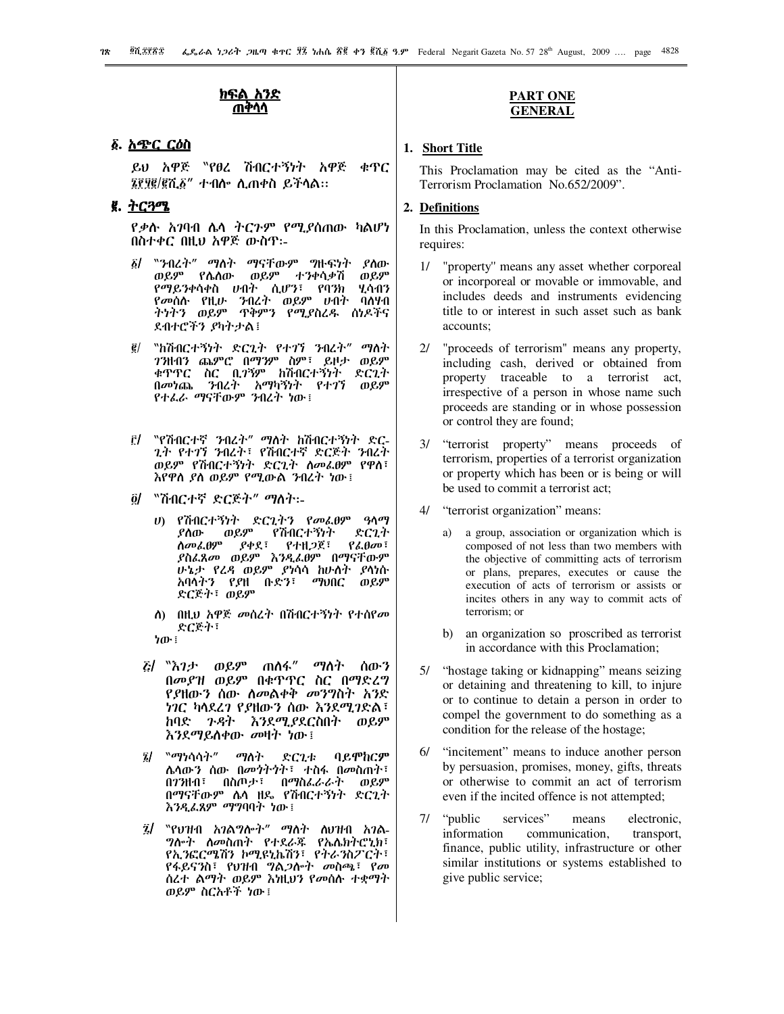## <u>ክፍል አንድ</u> ጠቅሳሳ

## ፩. <u>አጭር ርዕስ</u>

ይህ አዋጅ 〝የፀረ ሽብርተኝነት አዋጅ ቁጥር ፤፻፶፪/፪ሺ፩" ተብሎ ሲጠቀስ ይችሳል።

# ፪. ትርጓሜ

*የቃ*ሱ *አገ*ባብ ሌላ ትርጉም የሚያሰጠው ካልሆነ በስተቀር በዚህ አዋጅ ውስዋ፡-

- ፩/ ``ንብረት" ማስት ማናቸውም ግዙፍነት ያስው ወይም የሴስው ወይም ተንቀሳቃሽ ወይም የማይንቀሳቀስ ሀብት ሲሆን፣ የባንክ ሂሳብን የመሰሱ የዚሁ ንብረት ወይም ሀብት ባለሃብ ትነትን ወይም ጥቅምን የሚያስረዱ ሰነዶችና ደብተሮችን ያካትታል፤
- "ከሽብርተኝነት ድርጊት የተገኘ ንብረት" ማለት  $\vec{e}$ 7ንዘብን ጨምሮ በማንም ስም፣ ይዞታ ወይም ቁጥጥር ስር ቢ*ገኘም* ከሽብርተኝነት ድርጊት በመነጨ ንብረት አማካኝነት የተገኘ ወይም
- ፫/ 〝የሽብርተኛ ንብረት" ማለት ከሽብርተኝነት ድር-*ጊት የተገኘ ን*ብረት፣ የሽብርተኛ ድርጅት *ን*ብረት ወይም የሽብርተኝነት ድርጊት ስመፌፀም የዋስ፣ እየዋስ ያስ ወይም የሚውል ንብረት ነው ፤
- <u> ō/ "ሽብርተኛ ድርጅት" ማስት፡-</u>
	- ሀ) የሽብርተኝነት ድርጊትን የመፌፀም ዓለማ  $0.89$ የሽብርተኝነት ድርጊት ያስው ስመፌፀም  $P \phi \chi$  :  $P + H \mathcal{Q} \chi$  :  $P\lambda$ .A $\sigma$ ያስፌጸመ ወይም እንዲፌፀም በማናቸውም ሁኔታ የሬዳ ወይም ያነሳሳ ከሁለት ያሳነሱ አባላትን የያዘ ቡድን፣ *ማ*ህበር ወይም ድርጅት፣ ወይም
	- ስ) በዚህ አዋጅ መሰረት በሽብርተኝነት የተሰየመ ድርጅት፣
	- ነው ፤
	- *ξ|* აእ*ገታ ወይም ጠስፋ" ማስተ* ስጡን በመያዝ ወይም በቁጥጥር ስር በማድረግ *የያ*ዘው*ን* ሰው ስመልቀቅ መንግስተ አንድ ነገር ካላደረገ የያዘውን ሰው እንደሚገድል፣ ከባድ *ጉዳት እን*ደሚያደርስበት ወይም እ*ን*ደማይስቀው *መ*ዛት ነው፤
	- $\tilde{z}l$ "ማነሳሳት" ማስት ድርጊቱ ባይሞከርም ሌላውን ሰው በመንትንት፣ ተስፋ በመስጠት፣ በ7ንዘብ፣ በስጦታ፣ በማስፌራራት ወይም በማናቸውም ሌላ ዘዴ የሽብርተኝነት ድርጊት እንዲፌጸም *ማግ*ባባት ነው፤
	- $\ddot{\mathbf{z}}$ *ግ*ሎት ስመስጠት የተደራጁ የኤሌክትሮኒክ፣ የኢንፎርሜሽን ኮሚዩኒኬሽን፣ የትራንስፖርት፣ የፋይናንስ፣ የህዝብ ግል*ጋ*ሎት መስጫ፣ የመ ሰረተ ልማት ወይም እነዚህን የመሰሱ ተቋማት ወይም ስርአቶች ነው ፡

## **PART ONE GENERAL**

## 1. Short Title

This Proclamation may be cited as the "Anti-Terrorism Proclamation No.652/2009".

# 2. Definitions

In this Proclamation, unless the context otherwise requires:

- "property" means any asset whether corporeal  $\frac{1}{2}$ or incorporeal or movable or immovable, and includes deeds and instruments evidencing title to or interest in such asset such as bank accounts:
- "proceeds of terrorism" means any property,  $2l$ including cash, derived or obtained from property traceable to a terrorist act, irrespective of a person in whose name such proceeds are standing or in whose possession or control they are found;
- "terrorist property" means proceeds of  $3/$ terrorism, properties of a terrorist organization or property which has been or is being or will be used to commit a terrorist act;
- $41$ "terrorist organization" means:
	- a group, association or organization which is composed of not less than two members with the objective of committing acts of terrorism or plans, prepares, executes or cause the execution of acts of terrorism or assists or incites others in any way to commit acts of terrorism; or
	- b) an organization so proscribed as terrorist in accordance with this Proclamation;
- 5/ "hostage taking or kidnapping" means seizing or detaining and threatening to kill, to injure or to continue to detain a person in order to compel the government to do something as a condition for the release of the hostage;
- $6/$ "incitement" means to induce another person by persuasion, promises, money, gifts, threats or otherwise to commit an act of terrorism even if the incited offence is not attempted;
- 7/ "public" services" means electronic, information communication, transport, finance, public utility, infrastructure or other similar institutions or systems established to give public service;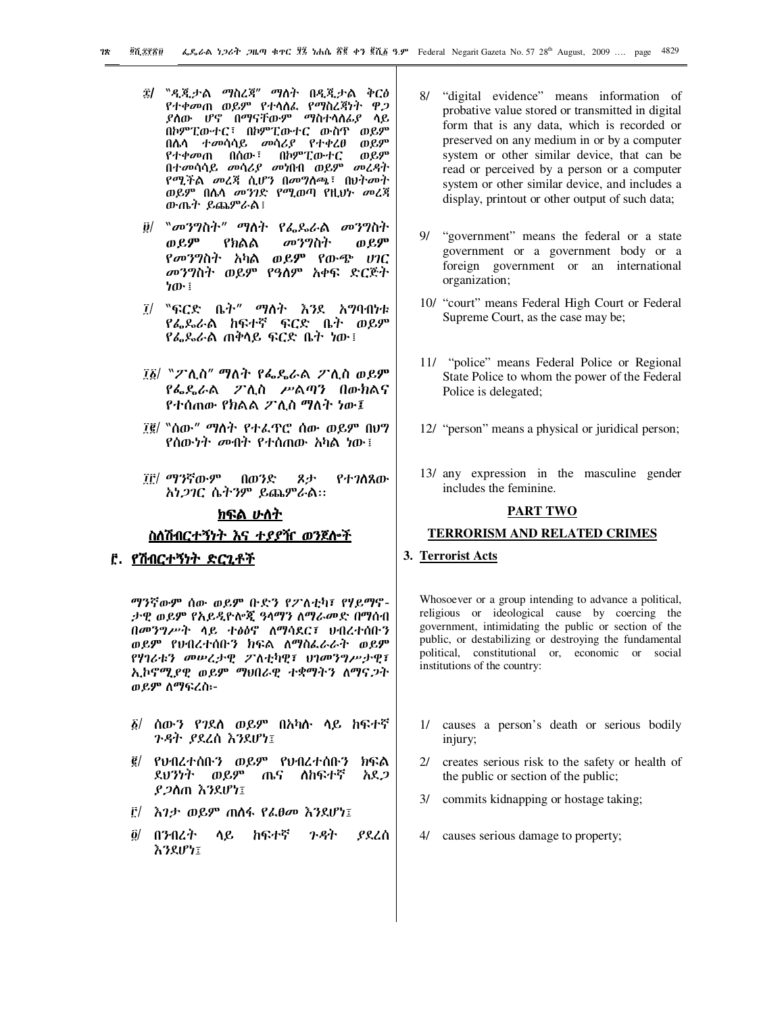- ፰/ "ዲጂታል ማስረጃ" ማስት በዲጂታል ቅርፅ የተቀመጠ ወይም የተሳሰፌ የማስረጃነት ዋጋ *ያስ*ው ሆኖ በማናቸውም ማስተሳሰ*ሌያ* ሳይ በኮምፒውተር፣ በኮምፒውተር ውስዋ ወይም በሴሳ ተመሳሳይ መሳሪያ የተቀረፀ ወይም የተቀመጠ በሰው<sup>፣</sup> በኮምፒውተር ወይዎ በተመሳሳይ መሳሪያ መነበብ ወይም መረዳት የሚችል መረጃ ሲሆን በመግለጫ፣ በህትመት ወይም በሴሳ መንገድ የሚወጣ የዚህት መረጃ ውጤት ይጨምራል፤
- $\ddot{\theta}$ / "መንግስት" ማስት የፌዶራል መንግስት ወይም የክልል መንግስት ወይም የመንግስት አካል ወይም የውጭ ሀገር መንግስት ወይም የዓለም አቀፍ ድርጅት ነው ፤
- "ፍርድ ቤት" ማስት እንደ አ**ግባ**በነቱ  $\tilde{I}/$ የፌዶራል ከፍተኛ ፍርድ ቤት ወይም *የፌ*ዴራል ጠቅሳይ ፍርድ ቤት ነው፤
- ፲፩/ "ፖሊስ" ማለት የፌዴራል ፖሊስ ወይም የፌዴራል ፖሊስ ሥልጣን በውክልና የተሰጠው የክልል ፖሊስ ማለት ነው፤
- ፲፪/ "ሰው" ማስት የተፌዋሮ ሰው ወይም በህግ የሰው*ነት መ*ብት የተሰጠው አካል ነው፤
- ፲፫/ ማንኛውም በወንድ スナ የተገለጸው አነ*ጋገ*ር ሴትንም ይጨምራል።

# <u>ክፍል ሁለት</u>

# <u>ስለሽብርተኝነት እና ተያያዥ ወንጀሎች</u>

## <u>፫. የሽብርተኝነት ድርጊቶች</u>

ማንኛውም ሰው ወይም ቡድን የፖለቲካ፣ የሃይማኖ-ታዊ ወይም የአይዲዮሎጂ ዓላማን ለማራመድ በማሰብ በመንግሥት ሳይ ተፅዕኖ ስማሳደር፣ ሀብረተሰቡን ወይም የህብረተሰቡን ክፍል ለማስፌራራት ወይም የሃገሪቱን መሠረታዊ ፖለቲካዊ፣ ህገመንግሥታዊ፣ ኢኮኖሚያዊ ወይም ማህበራዊ ተቋማትን ለማና*ጋ*ት ወይም ለማፍረስ፡-

- ፩/ ሰው*ን የገ*ደሰ ወይም በአካሱ ሳይ ከፍተኛ *ጉዳት ያ*ደረሰ እንደሆነ፤
- ፪/ የህብረተሰቡን ወይም የህብረተሰቡን ክፍል ደህንነት ወይም ጤና ስከፍተኛ አደ*ጋ* ያ*ጋ*ስጠ እንደሆነ፤
- ፫/ እገታ ወይም ጠስፋ የፌፀመ እንደሆነ፤
- $\delta$ / በንብረት ሳይ ከፍተኛ ንዳት ያደረሰ እንደሆነ፤
- 8/ "digital evidence" means information of probative value stored or transmitted in digital form that is any data, which is recorded or preserved on any medium in or by a computer system or other similar device, that can be read or perceived by a person or a computer system or other similar device, and includes a display, printout or other output of such data;
- 9/ "government" means the federal or a state government or a government body or a foreign government or an international organization;
- 10/ "court" means Federal High Court or Federal Supreme Court, as the case may be;
- 11/ "police" means Federal Police or Regional State Police to whom the power of the Federal Police is delegated;
- 12/ "person" means a physical or juridical person;
- 13/ any expression in the masculine gender includes the feminine.

## **PART TWO**

#### **TERRORISM AND RELATED CRIMES**

## 3. Terrorist Acts

Whosoever or a group intending to advance a political, religious or ideological cause by coercing the government, intimidating the public or section of the public, or destabilizing or destroying the fundamental political, constitutional or, economic or social institutions of the country:

- 1/ causes a person's death or serious bodily injury;
- creates serious risk to the safety or health of  $2l$ the public or section of the public;
- $3/$ commits kidnapping or hostage taking;
- 4/ causes serious damage to property;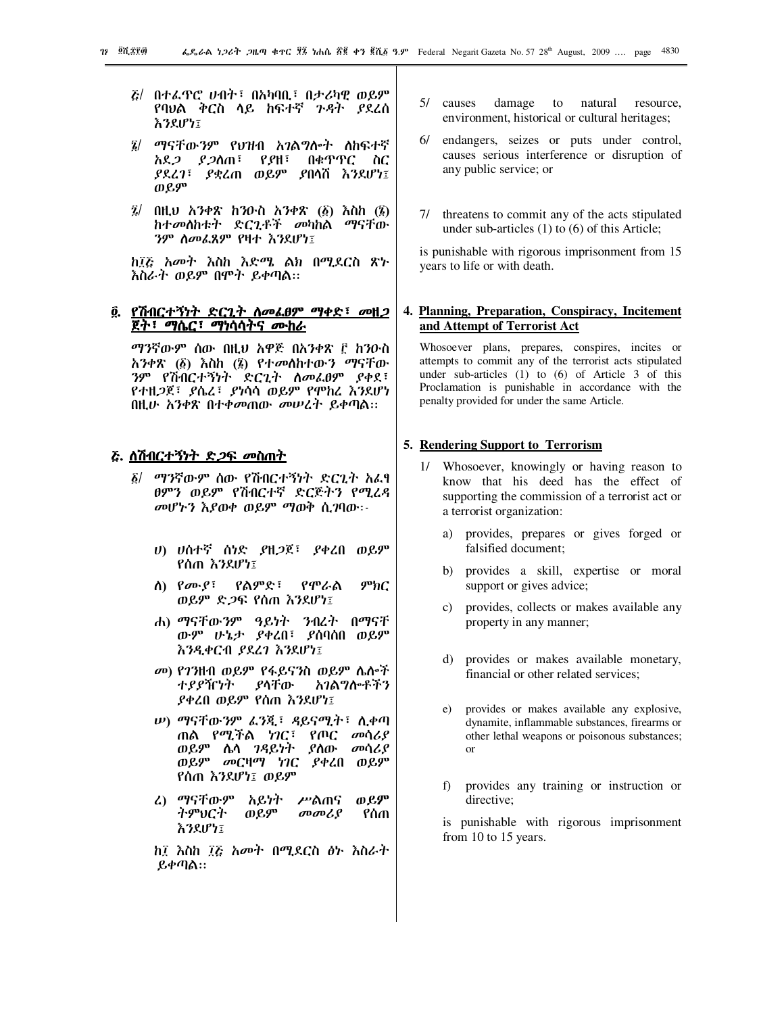- $E/$  በተፌዋሮ ሀብት፣ በአካባቢ፣ በታሪካዊ ወይም የባህል ቅርስ ሳይ ከፍተኛ *ጉዳ*ት *ያ*ደረሰ ふろえげケミ
- $\vec{a}$ / ማናቸውንም የህዝብ አንልግሎት ለከፍተኛ አደ*ጋ ያጋ*ስጠ፣ የ*ያ*ዘ፣ በቁጥጥር ስር *ያ*ደረ*ገ*፣ *ያ*ቋረጠ ወይም ያበሳሽ እንደሆነ፤ ወይም
- $\vec{z}$  በዚህ አንቀጽ ከንዑስ አንቀጽ (፩) እስከ (፮) ከተመለከቱት ድርጊቶች መካከል ማናቸው ንም ስመፌጸም የዛተ እንደሆነ፤

ከ፲፩ አመት እስከ እድሜ ልክ በሚደርስ ጽ৮ እስራት ወይም በሞት ይቀጣል።

# ፬. የሽብርተኝነት ድርጊት ስመፌፀም ማቀድ፣ መዘ*ጋ* ጀት፣ ማሴር፣ ማነሳሳትና ሙከራ

ማንኛውም ሰው በዚህ አዋጅ በአንቀጽ ፫ ከንዑስ አንቀጽ (፩) እስከ (፮) የተመለከተውን ማናቸው ንም የሽብርተኝነት ድርጊት ስመራፀም ያቀደ፣ የተዘ*ጋ*ጀ፣ ያሴረ፣ ያነሳሳ ወይም የሞከረ እንደሆነ በዚሁ አንቀጽ በተቀመጠው መሠረተ ይቀጣል።

#### <u> ሯ. ሲሽብርተኝነት ድ*ጋ*ፍ መስጠት</u>

- ፩/ ማንኛውም ሰው የሽብርተኝነት ድርጊት አፌፃ ፀምን ወይም የሽብርተኛ ድርጅትን የሚረዳ መሆኑን እያወቀ ወይም ማወቅ ሲገባው፡-
	- ሀ) ሀሰተኛ ሰነድ ያዘጋጀ፣ ያቀረበ ወይም የሰጠ እንደሆነ፤
	- ስ) *የሙያ*፣ *የ*ልምድ፣ የሞራል  $P<sup>b</sup>$ nC ወይም ድ*ጋ*ፍ የሰጠ እንደሆነ፤
	- ሐ) ማናቸውንም ዓይነት ንብረት በማናቸ ውም ሁኔታ ያቀረበ፣ ያሰባሰበ ወይም እንዲቀርብ ያደረገ እንደሆነ፤
	- መ) የገንዘብ ወይም የፋይናንስ ወይም ሌሎች ያላቸው አገልግሎቶችን ተያያዥነት ያቀረበ ወይም የሰጠ እንደሆነ፤
	- *ψ***) ማናቸውንም ፈንጂ፣ ዳይናሚት፣ ሲቀ**ጣ ጠል የሚችል ነገር፣ የጦር መሳሪያ ወይም ሴሳ *ገዳ*ይነት ያስው መሳሪያ ወይም መርዛማ ነገር ያቀረበ ወይም የሰጠ እንደሆነ፤ ወይም
	- ወይም ሬ) ማናቸውም አይነት ሥልጠና ትምህርት ወይም  $\omega$ <sub>a</sub> የሰጠ እንደሆነ፤

ከ፤ እስከ ፲፭ አመት በሚደርስ ፅ৮ እስራት ይቀጣል።

- 5/ causes damage to natural resource, environment, historical or cultural heritages;
- 6/ endangers, seizes or puts under control, causes serious interference or disruption of any public service; or
- threatens to commit any of the acts stipulated  $71$ under sub-articles  $(1)$  to  $(6)$  of this Article;

is punishable with rigorous imprisonment from 15 years to life or with death.

# 4. Planning, Preparation, Conspiracy, Incitement and Attempt of Terrorist Act

Whosoever plans, prepares, conspires, incites or attempts to commit any of the terrorist acts stipulated under sub-articles  $(1)$  to  $(6)$  of Article 3 of this Proclamation is punishable in accordance with the penalty provided for under the same Article.

#### 5. Rendering Support to Terrorism

- 1/ Whosoever, knowingly or having reason to know that his deed has the effect of supporting the commission of a terrorist act or a terrorist organization:
	- provides, prepares or gives forged or  $a)$ falsified document:
	- b) provides a skill, expertise or moral support or gives advice;
	- c) provides, collects or makes available any property in any manner;
	- d) provides or makes available monetary, financial or other related services;
	- $e)$ provides or makes available any explosive, dynamite, inflammable substances, firearms or other lethal weapons or poisonous substances;  $\alpha$ <sup>r</sup>
	- f) provides any training or instruction or directive:

is punishable with rigorous imprisonment from 10 to 15 years.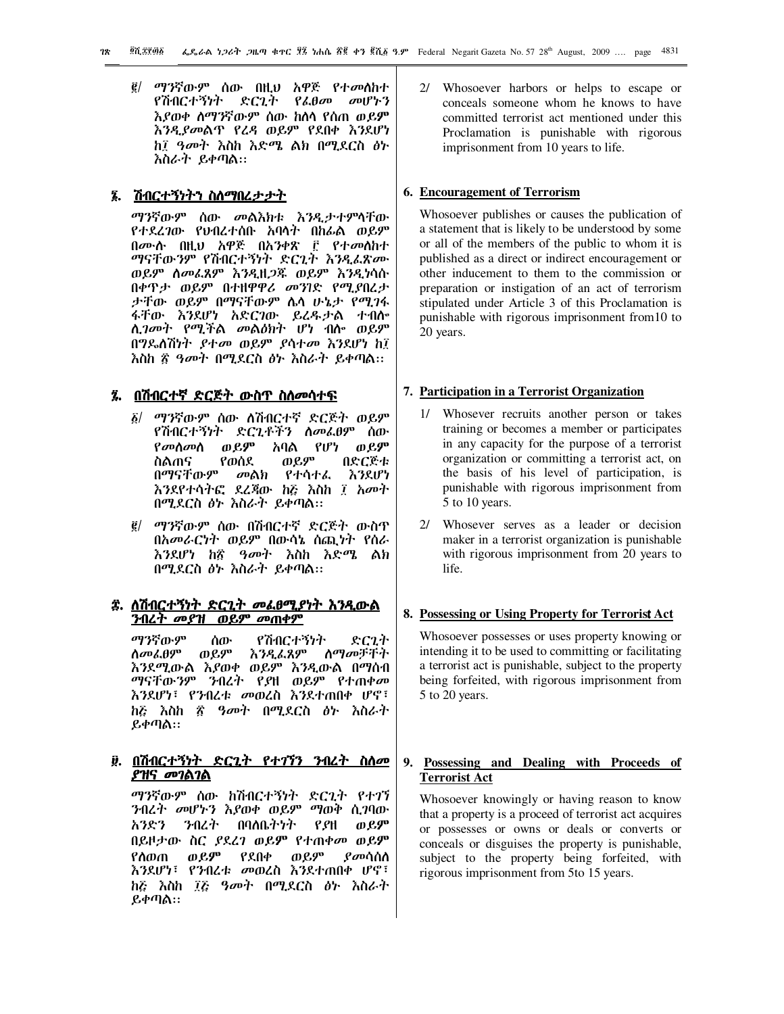$\vec{g}$ / ማንኛውም ሰው በዚህ አዋጅ የተመሰከተ የሽብርተኝነት ድርጊት የፌፀመ መሆኑን እያወቀ ስማንኛውም ሰው ከስሳ የሰጠ ወይ**ም** እንዲያመልጥ የረዳ ወይም የደበቀ እንደሆነ ከ፤ ዓመት እስከ እድሜ ልክ በሚደርስ ፅኑ እስራት ይቀጣል።

# <u>፮. ሽብርተኝነትን ስለማበረታታት</u>

ማንኛውም ሰው መልእክቱ እንዲታተምሳቸው የተደረገው የህብረተሰቡ አባሳት በከፊል ወይም በሙሱ በዚህ አዋጅ በአንቀጽ ፫ የተመስከተ ማናቸውንም የሽብርተኝነት ድርጊት እንዲፌጽሙ ወይም ሰመፌጸም እንዲዘ*ጋ*ጁ ወይም እንዲነሳሱ በቀዋታ ወይም በተዘዋዋሪ መንገድ የሚያበረታ ታቸው ወይም በማናቸውም ሴሳ ሁኔታ የሚገፋ ፋቸው እንደሆነ አድርገው ይረዱታል ተብሎ ሊ*ገመት የሚች*ል መልዕክት ሆነ ብስ<sub>ግ</sub> ወይም በግዶለሽነት ያተመ ወይም ያሳተመ እንደሆነ ከ፲ እስከ ፳ *ዓመት* በሚደርስ *ፅ*ኑ እስራት ይቀጣል።

# <u> ፯. በሽብርተኛ ድርጅት ውስጥ ስስመሳተፍ</u>

- *δ| ማን*ኛውም ሰው ለሽብርተኛ ድርጅት ወይም የሽብርተኝነት ድርጊቶችን ስመሬፀም ስው አባል የሆነ የመስመስ ወይም ወይም የወሰደ ወይም በድርጅቱ ስልጠና በማናቸውም መልክ የተሳተፌ እንደሆነ እንደየተሳተፎ ደረጃው ከሯ እስከ ፤ አመተ በሚደርስ ፅኑ እስራት ይቀጣል።
- *፪/ ማን*ኛውም ሰው በሽብርተኛ ድርጅት ውስጥ በአመራርነት ወይም በውሳኔ ስጪነት የሰራ እንደሆነ ከኟ ዓመት እስከ እድሜ ልክ በሚደርስ ፅኑ እስራት ይቀጣል።

# ፰. ለሽብርተኝነት ድርጊት መፌፀሚያነት እንዲውል <u>ንብረት መያዝ ወይም መጠቀም</u>

ማንኛውም የሽብርተኝነት ሰው ድርጊተ ወይም ስማመቻቸት ስመፌፀም <u>እንዲፌጸም</u> እንደሚውል እያወቀ ወይም እንዲውል በማሰብ *ማናቸውንም ን*ብረት የ*ያ*ዘ ወይም የተጠቀ*መ* እንደሆነ፣ የንብረቱ መወረስ እንደተጠበቀ ሆኖ፣ ከሯ እስከ ፳ ዓመት በሚደርስ ፅ৮ እስራት ይቀጣል።

# ፱. በሽብርተኝነት ድርጊት የተገኘን ንብረት ስስመ ያዝና መገልገል

ማንኛውም ሰው ከሽብርተኝነት ድርጊት የተገኘ ንብረት መሆኑን እያወቀ ወይም ማወቅ ሲገባው አንድን ንብረት በባለቤትነት P.PH ወይም በይዞታው ስር *ያ*ደረገ ወይም የተጠቀመ ወይም ወይም ወይም የለጠጠ የደበቀ *የመ*ሳሰስ እንደሆነ፣ የንብረቱ መወረስ እንደተጠበቀ ሆኖ፣ ከሯ እስከ ፲፩ ዓመት በሚደርስ ፅ৮ እስራት  $P_1 \phi \eta \Delta$ ::

2/ Whosoever harbors or helps to escape or conceals someone whom he knows to have committed terrorist act mentioned under this Proclamation is punishable with rigorous imprisonment from 10 years to life.

## 6. Encouragement of Terrorism

Whosoever publishes or causes the publication of a statement that is likely to be understood by some or all of the members of the public to whom it is published as a direct or indirect encouragement or other inducement to them to the commission or preparation or instigation of an act of terrorism stipulated under Article 3 of this Proclamation is punishable with rigorous imprisonment from 10 to 20 years.

## 7. Participation in a Terrorist Organization

- 1/ Whosever recruits another person or takes training or becomes a member or participates in any capacity for the purpose of a terrorist organization or committing a terrorist act, on the basis of his level of participation, is punishable with rigorous imprisonment from 5 to 10 years.
- Whosever serves as a leader or decision  $2l$ maker in a terrorist organization is punishable with rigorous imprisonment from 20 years to life.

## 8. Possessing or Using Property for Terrorist Act

Whosoever possesses or uses property knowing or intending it to be used to committing or facilitating a terrorist act is punishable, subject to the property being forfeited, with rigorous imprisonment from 5 to 20 years.

# 9. Possessing and Dealing with Proceeds of **Terrorist Act**

Whosoever knowingly or having reason to know that a property is a proceed of terrorist act acquires or possesses or owns or deals or converts or conceals or disguises the property is punishable, subject to the property being forfeited, with rigorous imprisonment from 5to 15 years.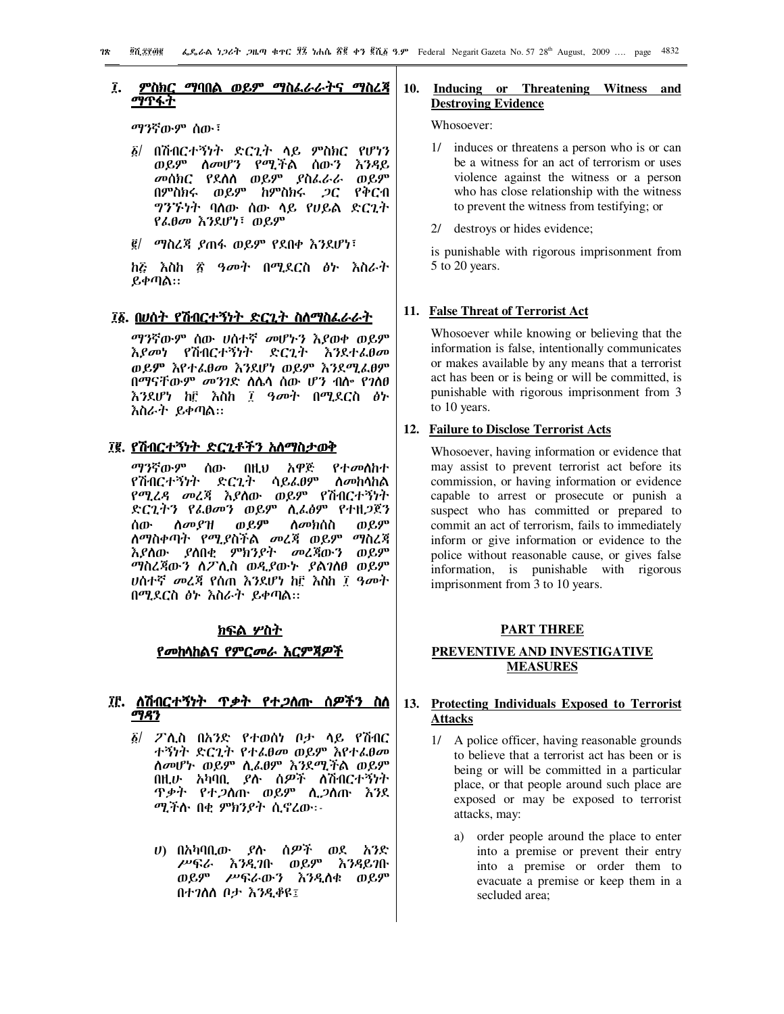#### ፲. ምስክር ማባበል ወይም ማስፌራራትና ማስፈጃ <u>ማጥፋት</u>

*ማን*ኛውም ሰው<sup>፣</sup>

- $\tilde{g}$ / በሽብርተኝነት ድርጊት ላይ ምስክር የሆነን ወይም ሰመሆን የሚችል ሰውን እንዳይ መሰክር የደሰሰ ወይም *ያ*ስፌራራ ወይም በምስክሩ ወይም ከምስክሩ *ጋ*ር የቅርብ ግንኙነት ባለው ሰው ሳይ የሀይል ድርጊት የፌፀመ እንደሆነ፣ ወይም
- g/ *ጣ*ስረጃ ያጠፋ ወይም የደበቀ እንደሆነ፣

*ከ*ξ እስከ ፳ ዓመት በሚደርስ ፅኑ እስራት  $R \phi \eta \lambda$ ::

# ፲፩. በሀሰት የሽብርተኝነት ድርጊት ስለማስፌራራት

ማንኛውም ሰው ሀሰተኛ *መ*ሆኑን እያወቀ ወይም እያመነ የሽብርተኝነት ድርጊት እንደተ*ሌ*θመ ወይም እየተፈፀመ እንደሆነ ወይም እንደሚፈፀም በማናቸውም መንገድ ስሴሳ ሰው ሆን ብሎ የገለፀ እንደሆነ ከ፫ እስከ ፲ *ዓመት* በሚደርስ *ፅኑ* እስራት ይቀጣል።

# ፲፪. <u>የሽብርተኝነት ድርጊቶችን አስማስታወቅ</u>

ማንኛውም ሰው በዚህ አዋጅ የተ*መ*ስከተ የሽብርተኝነት ድርጊት ሳይፌፀም ስ*መ*ከሳከል የሚረዳ መረጃ እያሰው ወይም የሽብርተኝነት ድርጊትን የፌፀመን ወይም ሲፌፅም የተዘጋጀን ሰው *ስመያዝ ወይም ስመክ*ሰስ ወይም ለማስቀጣት የሚያስችል *መ*ረጃ ወይም ማስረጃ እያስው ያስበቂ ምክንያት *መ*ረጃውን ወይም *ግ*ስረጃውን ስፖሊስ ወዲያውኑ *ያ*ልገለፀ ወይም ሀሰተኛ መረጃ የሰጠ እንደሆነ ከ፫ እስከ ፲ ዓመት በሚደርስ ፅኑ እስራት ይቀጣል።

## ክፍል ሦስት

#### <u>የመከሳከልና የምርመራ እርምጃዎች</u>

# <u>፲፫. ለሽብርተኝነት ጥቃት የተ*ጋ*ስጡ ስዎችን ስስ</u> ግዳን

- ፩/ ፖሊስ በአንድ የተወሰነ ቦታ ላይ የሽብር ተኝነት ድርጊት የተፌፀመ ወይም እየተፌፀመ ስመሆኑ ወይም ሲፌፀም እንደሚችል ወይም በዚሁ አካባቢ *ያ*ሉ ሰ*ዎች* ለሽብርተኝነት <u>ዋቃተ የተ*ጋ*ስጡ ወይም ሲ*ጋ*ስጡ እንደ</u> ሚችሱ በቂ ምክንያተ ሲኖረው፡-
	- *ሀ*) በአካባቢው *ያ*ሱ ሰ*ዎች* ወደ አንድ ሥፍራ እንዲገቡ ወይም እንዳይገቡ ወይም ሥፍራውን እንዲሰቁ ወይም በተገለለ ቦታ እንዲቆዩ፤

## **10. Inducing or Threatening Witness and Destroying Evidence**

#### Whosoever:

- 1/ induces or threatens a person who is or can be a witness for an act of terrorism or uses violence against the witness or a person who has close relationship with the witness to prevent the witness from testifying; or
- 2/ destroys or hides evidence;

is punishable with rigorous imprisonment from 5 to 20 years.

# **11. False Threat of Terrorist Act**

Whosoever while knowing or believing that the information is false, intentionally communicates or makes available by any means that a terrorist act has been or is being or will be committed, is punishable with rigorous imprisonment from 3 to 10 years.

# **12. Failure to Disclose Terrorist Acts**

Whosoever, having information or evidence that may assist to prevent terrorist act before its commission, or having information or evidence capable to arrest or prosecute or punish a suspect who has committed or prepared to commit an act of terrorism, fails to immediately inform or give information or evidence to the police without reasonable cause, or gives false information, is punishable with rigorous imprisonment from 3 to 10 years.

#### **PART THREE**

# **PREVENTIVE AND INVESTIGATIVE MEASURES**

# **13. Protecting Individuals Exposed to Terrorist Attacks**

- 1/ A police officer, having reasonable grounds to believe that a terrorist act has been or is being or will be committed in a particular place, or that people around such place are exposed or may be exposed to terrorist attacks, may:
	- a) order people around the place to enter into a premise or prevent their entry into a premise or order them to evacuate a premise or keep them in a secluded area;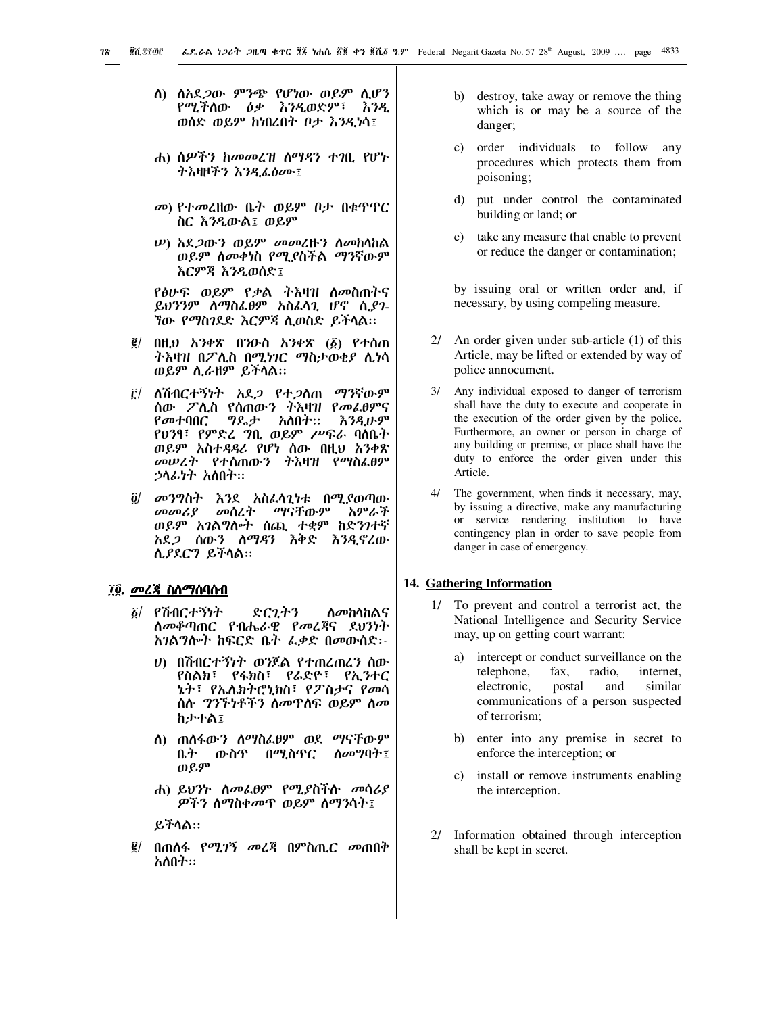- <u>ለ) ለአደ*ጋ*ው ምንጭ የሆነው ወይም ሲሆን</u> የሚችሰው ዕቃ እንዲወድም፣ እንዲ ወሰድ ወይም ከነበረበት ቦታ እንዲነሳ፤
- ሐ) ሰዎችን ከመመረዝ ስማዳን ተገቢ የሆኑ ተእዛዞችን እንዲፈፅሙ፤
- መ) የተመረዘው ቤት ወይም ቦታ በቁዋዋር ስር እንዲውል፤ ወይም
- *ψ***)** *አ***ደ***ጋ***ውን ወይም መመረዙን ስመከሳከል** ወይም ሰመቀነስ የሚያስችል ማንኛውም እርምጃ እንዲወሰድ፤

የፅሁፍ ወይም የቃል ትእዛዝ ስመስጠትና ይህንንም ሰማስፌፀም አስፌሳጊ ሆኖ ሲያገ-ኘው የማስገደድ እርምጃ ሲወስድ ይችላል።

- ፪/ በዚህ አንቀጽ በንዑስ አንቀጽ (፩) የተሰጠ *ትእ*ዛዝ በፖሊስ በሚ*ነገ*ር ማስታወቂያ ሊነሳ ወይም ሲራዘም ይችሳል።
- ፫/ ለሽብርተኝነት አደ*ጋ* የተ*ጋ*ለጠ ማንኛውም ሰው ፖሊስ የሰጠውን ትእዛዝ የመፌፀምና የመተባበር ግዴታ አለበት። እንዲሁም የሀንፃ፣ የምድሬ ግቢ ወይም ሥፍራ ባስቤተ ወይም አስተዳዳሪ የሆነ ሰው በዚህ አንቀጽ መሠረት የተሰጠውን ትእዛዝ የማስፌፀም ኃሳፊነት አስበት።
- ፬/ መንግስት እንደ አስፌሳጊነቱ በሚያወጣው መመሪያ *መ*ሰረ*ት ማናቸ*ውም አምራች ወይም አገልግሎት ሰጪ ተቋም ከድንገተኛ<br>አደ*ጋ* ሰውን ስማዳን እቅድ እንዲኖረው ሊያደርግ ይችላል።

# ፲፬. መረጃ ስለማሰባሰብ

- ፩/ የሽብርተኝነት ድርጊትን ስመከሳከልና ስመቆጣጠር የብሔራዊ የመረጃና ደህንነት አገልግሎት ከፍርድ ቤት ፌቃድ በመውሰድ፡-
	- ሀ) በሽብርተኝነት ወንጀል የተጠረጠረን ሰው የስልክ፣ የፋክስ፣ የሬድዮ፣ የኢንተር ኔት፣ የኤሌክትሮኒክስ፣ የፖስታና የ*መ*ሳ ሰሉ *ግንኙነቶችን ስመ*ዋስፍ ወይም ስ*መ* **ከታተል፤**
	- ለ) ጠሰፋው*ን* ስማስፌፀም ወደ ማናቸውም ቤት ውስዋ በሚስጥር ስመግባት፤ ወይም
	- ሐ) ይህንኮ ሰመፌፀም የሚያስችሱ መሳሪያ *ዎችን ስማስቀመ*ጥ ወይም ስማንሳት፤

ይችሳል።

፪/ በጠሰፋ የሚ*ገኝ መሬች* በምስጢ*ር መ*ጠበቅ አለበት።

- b) destroy, take away or remove the thing which is or may be a source of the danger;
- c) order individuals to follow any procedures which protects them from poisoning;
- put under control the contaminated  $\mathbf{d}$ building or land; or
- $e)$ take any measure that enable to prevent or reduce the danger or contamination;

by issuing oral or written order and, if necessary, by using compeling measure.

- 2/ An order given under sub-article  $(1)$  of this Article, may be lifted or extended by way of police annocument.
- $3/$ Any individual exposed to danger of terrorism shall have the duty to execute and cooperate in the execution of the order given by the police. Furthermore, an owner or person in charge of any building or premise, or place shall have the duty to enforce the order given under this Article.
- 4/ The government, when finds it necessary, may, by issuing a directive, make any manufacturing or service rendering institution to have contingency plan in order to save people from danger in case of emergency.

#### 14. Gathering Information

- To prevent and control a terrorist act, the  $1/\sqrt{2}$ National Intelligence and Security Service may, up on getting court warrant:
	- intercept or conduct surveillance on the a) telephone, fax. radio. internet. postal electronic. and similar communications of a person suspected of terrorism;
	- b) enter into any premise in secret to enforce the interception; or
	- c) install or remove instruments enabling the interception.
- 2/ Information obtained through interception shall be kept in secret.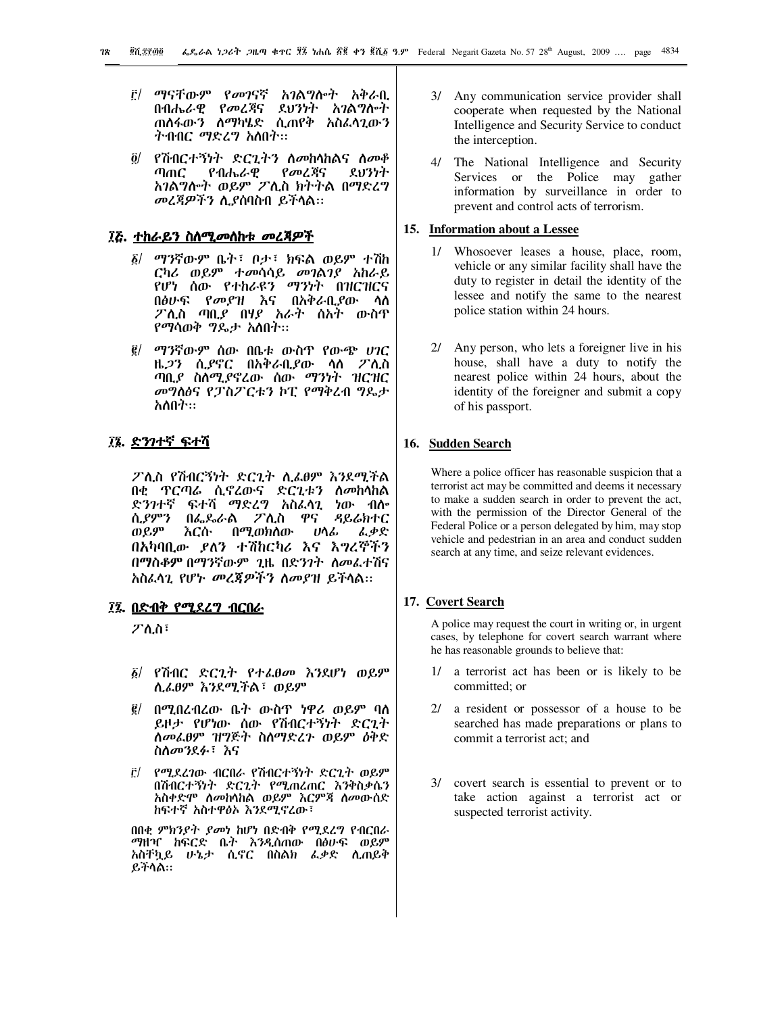- ቮ/ ማናቸውም የ*መገ*ናኛ አ*ገ*ልግሎት አቅራቢ በብሔራዊ የመረጃና ደህንነት አገልግሎት ጠሰፋውን ስማካሄድ ሲጠየቅ አስፈሳጊውን ትብብር ማድረግ አስበት።
- ፬/ የሽብርተኝነተ ድርጊትን ስመከሳከልና ስመቆ የመረጃና ふりかた ጣጠር የብሔራዊ አገልግሎት ወይም ፖሊስ ክትትል በማድረግ መረጃዎችን ሲያስባስብ ይችላል::

# ፲፭. <u>ተከራይን ስለሚመለከቱ መረጃዎች</u>

- ፩/ ማንኛውም ቤት፣ ቦታ፣ ክፍል ወይም ተሽከ ርካሪ ወይም ተመሳሳይ መገልገያ አከራይ የሆነ ሰው የተከራዩን ማንነት በዝርዝርና በፅሁፍ የመያዝ እና በአቅራቢያው ሳስ *ፖ*ሊስ ጣቢያ በሃያ *አራት* ሰአት ውስጥ *የማ*ሳወቅ *ግ*ጴታ አስበተ።
- ፪/ ማንኛውም ሰው በቤቱ ውስጥ የውጭ ሀገር ዜ*ጋን* ሲ*ያ*ኖር በአቅራቢያው ላስ ፖሊስ ጣቢያ ስለሚያኖረው ሰው ማንነት ዝርዝር መግስፅና የፓስፖርቱን ኮፒ የማቅረብ ግዴታ አለበት።

## ፲፮. ድንገተኛ ፍተሻ

ፖሊስ የሽብርኝነት ድርጊት ሊፈፀም እንደሚችል በቂ ዋርጣሬ ሲኖረውና ድርጊቱን ስመከላከል ድንገተኛ ፍተሻ ማድረግ አስፈላጊ ነው ብሎ ሲያምን በፌዶራል ፖሊስ ዋና ዳይሬክተር ወይም እርሱ በሚወክስው ፌቃድ ሀሳፊ በአካባቢው ይለን ተሽከርካሪ እና እግረኞችን በማስቆም በማንኛውም ጊዜ በድንገት ስመፌተሽና አስፈላጊ የሆኑ መረጀዎችን ስመያዝ ይችላል::

## ፲፯. በድብቅ የሚደረግ ብርበራ

ፖሊስ፣

- ፩/ የሽብር ድርጊት የተፌፀመ እንደሆነ ወይም ሲፌፀም እንደሚችል፣ ወይም
- <u>፪/ በሚበረብረው ቤት ውስጥ ነዋሪ ወይም ባለ</u> ይዞታ የሆነው ሰው የሽብርተኝነት ድርጊት ስመፌፀም ዝግጅት ስስማድረጉ ወይም ዕቅድ ስስመንደፉ፣ እና
- ፫/ የሚደረገው ብርበራ የሽብርተኝነት ድርጊት ወይም በሽብርተኝነት ድርጊት የሚጠረጠር እንቅስቃሴን አስቀድሞ ስመከሳከል ወይም እርምጃ ስመውሰድ ከፍተኛ አስተዋፅኦ እንደሚኖረው፣

በበቂ ምክንያት ያመነ ከሆነ በድብቅ የሚደረግ የብርበራ *ማ*ዘዣ ከፍርድ ቤት እንዲሰጠው በፅሁፍ ወይም አስቸኳይ ሁኔታ ሲኖር በስልክ ፌቃድ ሲጠይቅ ይችሳል።

- 3/ Any communication service provider shall cooperate when requested by the National Intelligence and Security Service to conduct the interception.
- 4/ The National Intelligence and Security Services or the Police may gather information by surveillance in order to prevent and control acts of terrorism.

### 15. Information about a Lessee

- 1/ Whosoever leases a house, place, room, vehicle or any similar facility shall have the duty to register in detail the identity of the lessee and notify the same to the nearest police station within 24 hours.
- 2/ Any person, who lets a foreigner live in his house, shall have a duty to notify the nearest police within 24 hours, about the identity of the foreigner and submit a copy of his passport.

## 16. Sudden Search

Where a police officer has reasonable suspicion that a terrorist act may be committed and deems it necessary to make a sudden search in order to prevent the act, with the permission of the Director General of the Federal Police or a person delegated by him, may stop vehicle and pedestrian in an area and conduct sudden search at any time, and seize relevant evidences.

## 17. Covert Search

A police may request the court in writing or, in urgent cases, by telephone for covert search warrant where he has reasonable grounds to believe that:

- $1/$ a terrorist act has been or is likely to be committed: or
- 2/ a resident or possessor of a house to be searched has made preparations or plans to commit a terrorist act: and
- 3/ covert search is essential to prevent or to take action against a terrorist act or suspected terrorist activity.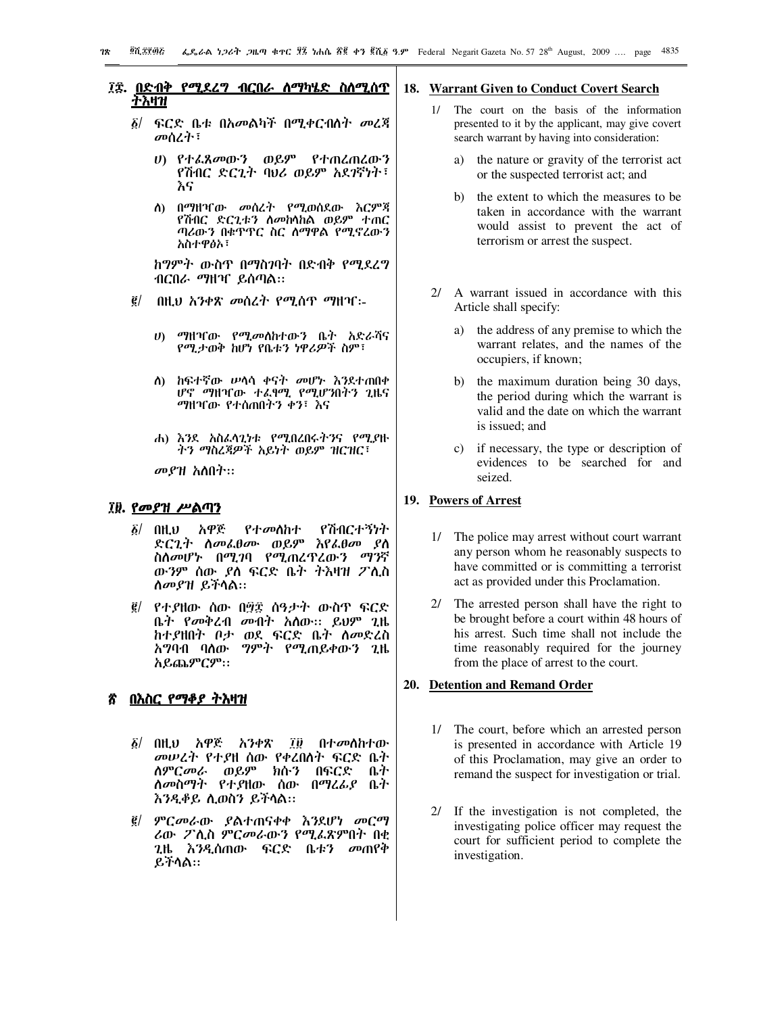## ፲፰. <u>በድብቅ የሚደረግ ብርበራ ስማካሄድ ስስሚስጥ</u> <u>ተእዛዝ</u>

- *፩| ፍር*ድ ቤቱ በአመልካች በሚቀርብስት *መ*ረጃ መሰረተ፣
	- ሀ) የተፌጸመውን ወይም የተጠረጠረውን የሽብር ድርጊት ባህሪ ወይም አደ*ገ*ኛነት፣ እና
	- ስ) በማዘዣው መሰረት የሚወሰደው እርምጃ የሽብር ድርጊቱን ስመከላከል ወይም ተጠር ጣሪውን በቁጥጥር ስር ስማዋል የሚኖረውን አስተዋፅኦ፣

ከግምት ውስጥ በማስገባት በድብቅ የሚደረግ ብርበራ ማዘዣ ይሰጣል።

- $\vec{g}$ / በዚህ አንቀጽ መሰረት የሚሰጥ ማዘዣ፡-
	- $\boldsymbol{v}$ *ማ*ዘዣው የሚመለከተውን ቤት አድራሻና የሚታወቅ ከሆነ የቤቱን ነዋሪዎች ስም፣
	- ስ) ከፍተኛው ሥሳሳ ቀናት መሆኑ እንደተጠበቀ ሆኖ ማዘዣው ተፈፃሚ የሚሆንበትን ጊዜና *ማ*ዘዣው የተሰጠበትን ቀን፣ እና
	- ሐ) እንደ አስፌሳጊነቱ የሚበረበሩትንና የሚያዙ ትን ማስረጃዎች አይነት ወይም ዝርዝር፣

መያዝ አስበት።

# ፲፱. የመያዝ ሥልጣን

- አዋጅ  $\delta$ / AH. $\upsilon$ የተመሰከተ የሽብርተኝነት ድርጊት ስመፌፀሙ ወይም እየፌፀመ ያስ ስለመሆኑ በሚገባ የሚጠረዋረውን ማንኛ ውንም ሰው *ያ*ለ ፍርድ ቤት ትእዛዝ ፖሊስ ስመያዝ ይችሳል።
- *፪/ የተያ*ዘው ሰው በ፵፰ ሰዓ*ታት* ውስጥ ፍርድ ቤት የመቅረብ መብት አስው፡፡ ይህም ጊዜ ከተያዘበት ቦታ ወደ ፍርድ ቤት ስመድረስ *አግ*ባብ ባለው *ግምት የሚ*ጠይቀውን ጊዜ አይጨምርም።

# በእስር የማቆያ ትእዛዝ

- $\delta$ / በዚህ አዋጅ . አንቀጽ ፲፱ በተ*መ*ስከተው *መሠረት የተያ*ዘ ሰው የቀረበስተ ፍርድ ቤተ *ስምርመራ ወይም ክ*ሱን በፍርድ ቤተ ስመስማት የተያዘው ሰው በማረፊያ ቤተ እንዲቆይ ሲወስን ይችላል።
- <u>፪/ ምርመራው ያልተጠናቀቀ እንደሆነ መርማ</u> ሪው ፖሊስ ምርመራውን የሚፌጽምበት በቂ *ጊ*ዜ እንዲሰጠው ፍርድ ቤቱን መጠየቀ ይችላል።

#### 18. Warrant Given to Conduct Covert Search

- 1/ The court on the basis of the information presented to it by the applicant, may give covert search warrant by having into consideration:
	- the nature or gravity of the terrorist act a) or the suspected terrorist act; and
	- the extent to which the measures to be  $h$ ) taken in accordance with the warrant would assist to prevent the act of terrorism or arrest the suspect.
- 2/ A warrant issued in accordance with this Article shall specify:
	- a) the address of any premise to which the warrant relates, and the names of the occupiers, if known;
	- the maximum duration being 30 days,  $b)$ the period during which the warrant is valid and the date on which the warrant is issued: and
	- c) if necessary, the type or description of evidences to be searched for and seized

# 19. Powers of Arrest

- 1/ The police may arrest without court warrant any person whom he reasonably suspects to have committed or is committing a terrorist act as provided under this Proclamation.
- 2/ The arrested person shall have the right to be brought before a court within 48 hours of his arrest. Such time shall not include the time reasonably required for the journey from the place of arrest to the court.

#### 20. Detention and Remand Order

- 1/ The court, before which an arrested person is presented in accordance with Article 19 of this Proclamation, may give an order to remand the suspect for investigation or trial.
- 2/ If the investigation is not completed, the investigating police officer may request the court for sufficient period to complete the investigation.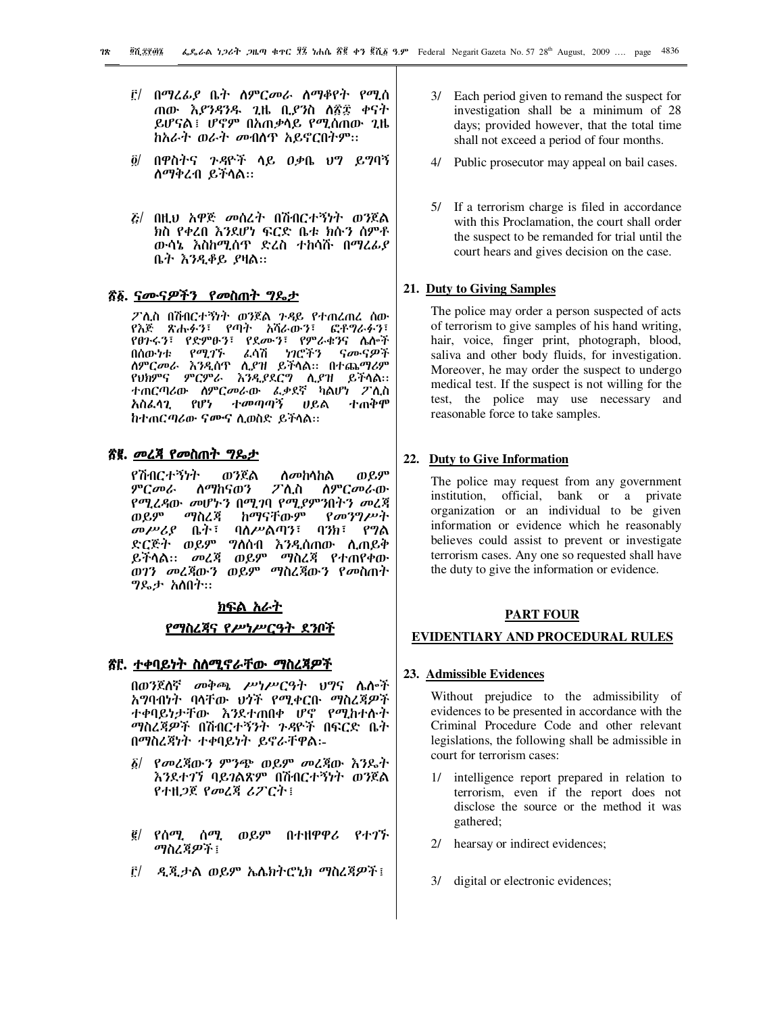- ፫/ በማረፊያ ቤት ስምርመራ ስማቆየት የሚሰ ጠው *እያንዳንዱ ጊ*ዜ ቢ*ያን*ስ ለ፳፰ ቀናት ይሆናል፤ ሆኖም በአጠቃሳይ የሚሰጠው ጊዜ *ከአራት ወራተ መ*ብሰዋ አይኖርበተም።
- ፬/ በዋስትና ንዳዮች ላይ ዐቃቤ ህግ ይግባኝ ስማቅረብ ይችላል።
- *ξ/ በዚህ አዋጅ መስረት በሽብርተኝነት ወን*ጀል ክስ የቀረበ እንደሆነ ፍርድ ቤቱ ክሱን ሰምቶ ውሳኔ እስከሚሰጥ ድረስ ተከሳሹ በማረፊያ ቤት እንዲቆይ ያዛል።

## <u>ኛል ናሙናዎችን የመስጠት ግዴታ</u>

ፖሊስ በሽብርተኝነት ወንጀል ንዳይ የተጠረጠረ ሰው የእጅ ጽሑፉን፣ የጣት አሻራውን፣ ፎቶግራፉን፣ የፀጉሩን፣ የድምፁን፣ የደሙን፣ የምራቁንና ሴሎች በሰውነቱ *የሚገኙ ሌ*ሳሽ *ነገ*ሮችን ናሙናዎች ተጠርጣሪው ስምርመራው ፌቃደኛ ካልሆነ ፖሲስ ተመጣጣኝ አስፌሳጊ የሆነ ሀይል ተጠቅሞ ከተጠርጣሪው ናሙና ሲወስድ ይችላል።

## ኛ፪. መረ<del>ጃ</del> የመስጠት ግዴታ

የሽብርተኝነት ወንጀል ወይም *ስመከ*ሳከል ፖሊስ ምርመራ ለማከናወን ስምርመራው የሚረዳው መሆኑን በሚገባ የሚያምንበትን መረጃ ወይም ማስረጃ ከማናቸውም  $\ell$ መንግሥት መሥሪያ ቤት፣ ባንክ፣ የግል ባለሥልጣን፣ ድርጅት ወይም ግለሰብ እንዲሰጠው ሲጠይቅ ይችሳል። መረጃ ወይም ማስረጃ የተጠየቀው ወገን መረጃውን ወይም ማስረጃውን የመስጠት *ግ*ዴታ አስበት።

#### <u>ክፍል አራት</u>

#### <u>የማስረጃና የሥነሥርዓት ደንቦች</u>

### <u>ኛር. ተቀባይነት ስለሚኖራቸው ማስረጃዎች</u>

በወንጀለኛ መቅጫ ሥነሥርዓት ህግና ሌሎች አግባብነት ባላቸው ህጎች የሚቀርቡ ማስረጃዎች ተቀባይነታቸው እንደተጠበቀ ሆኖ የሚከተሱት *ጣ*ስረጃ*ዎች* በሽብርተኝንት *ጉዳ*ዮች በፍርድ ቤት በማስረጃነት ተቀባይነት ይኖራቸዋል፡-

- *δ| የመረጃ*ውን ምንጭ ወይም መረጃው እንዴት እንደተገኘ ባይገልጽም በሽብርተኝነት ወንጀል የተዘጋጀ የመረጃ ሪፖርት፤
- *፪/ የሰሚ. ሰማ.* ወይም በተዘዋዋሪ イオッチ *ጣስረጀዎች* ፣
- <u>፫/ ዲጂታል ወይም ኤሌክትሮኒክ ማስረጃዎች፤</u>
- 3/ Each period given to remand the suspect for investigation shall be a minimum of 28 days; provided however, that the total time shall not exceed a period of four months.
- 4/ Public prosecutor may appeal on bail cases.
- 5/ If a terrorism charge is filed in accordance with this Proclamation, the court shall order the suspect to be remanded for trial until the court hears and gives decision on the case.

# 21. Duty to Giving Samples

The police may order a person suspected of acts of terrorism to give samples of his hand writing, hair, voice, finger print, photograph, blood, saliva and other body fluids, for investigation. Moreover, he may order the suspect to undergo medical test. If the suspect is not willing for the test, the police may use necessary and reasonable force to take samples.

## 22. Duty to Give Information

The police may request from any government institution, official, bank or a private organization or an individual to be given information or evidence which he reasonably believes could assist to prevent or investigate terrorism cases. Any one so requested shall have the duty to give the information or evidence.

#### **PART FOUR**

#### EVIDENTIARY AND PROCEDURAL RULES

#### 23. Admissible Evidences

Without prejudice to the admissibility of evidences to be presented in accordance with the Criminal Procedure Code and other relevant legislations, the following shall be admissible in court for terrorism cases:

- intelligence report prepared in relation to  $1/\sqrt{2}$ terrorism, even if the report does not disclose the source or the method it was gathered:
- 2/ hearsay or indirect evidences;
- 3/ digital or electronic evidences;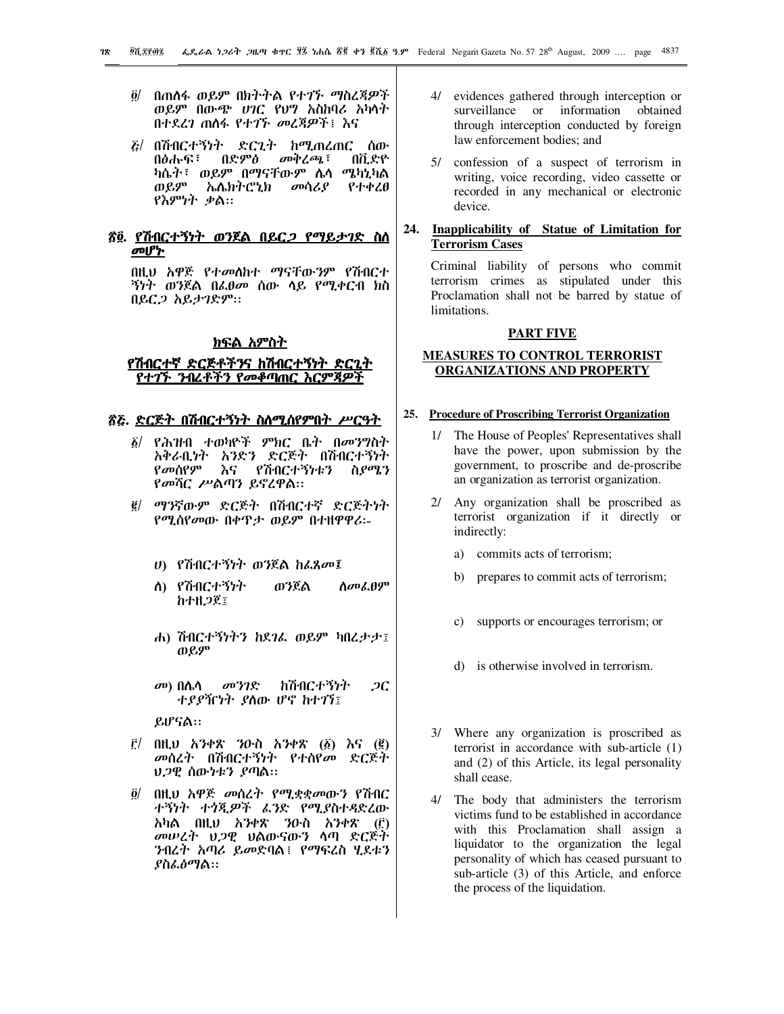- ö/ በጠሰፋ ወይም በክትትል የተገኙ ማስረጃዎች ወይም በውጭ ሀገር የህግ አስከባሪ አካላት በተደረገ ጠስፋ የተገኙ መረጃዎች፤ እና
- *ā|* በሽብርተኝነት ድርጊት ከሚጠረጠር ስው በድምፅ በፅሑፍ፣  $\omega\phi$ ረጫ ፣ በቪድዮ ካሴት፣ ወይም በማናቸውም ሌሳ ሜካኒካል ጠይም ኤሌክትሮኒክ መሳሪያ የተቀረፀ የእምነት ቃል።

## <u>ኛ፬. የሽብርተኝነት ወንጀል በይር*ጋ* የማይታገድ ስለ</u> መሆኮ

በዚህ አዋጅ የተመለከተ ማናቸውንም የሽብርተ *ኝነት ወን*ጀል በፌፀ*መ* ሰው ሳይ የሚቀርብ ክስ በይር*ጋ* አይታገድም።

#### <u>ክፍል አምስተ</u>

## <u>የሽብርተኛ ድርጅቶችንና ከሽብርተኝነት ድርጊተ</u> <u>የተገኙ ንብረቶችን የመቆጣጠር እርም</u>ጃዎች

## <u>ኛሯ. ድርጅት በሽብርተኝነት ስለሚሰየምበት ሥርዓት</u>

- የሕዝብ ተወካዮች ምክር ቤት በመንግስት አቅራቢነት አንድን ድርጅት በሽብርተኝነት የመሰየም እና የሽብርተኝነቱን ስ*ያሜ*ን የመሻር ሥልጣን ይኖረዋል።
- ፪/ ማንኛውም ድርጅት በሽብርተኛ ድርጅትነት የሚሰየመው በቀዋታ ወይም በተዘዋዋሪ፡-
	- ሀ) የሽብርተኝነት ወንጀል ከፌጸመ፤
	- ለ) የሽብርተኝነት ወንጀል ስመፌፀም **ከተዘጋጀ፤**
	- ሐ) ሽብርተኝነትን ከደ*ገ*ፌ ወይም ካበረታታ፤ ወይም
	- *መ*) በሌሳ መንገድ ከሽብርተኝነት  $2C$ ተያያዥነት ያስው ሆኖ ከተገኘ፤

ይሆናል።

- ፫/ በዚህ አንቀጽ ንዑስ አንቀጽ (፩) እና (፪) *መ*ሰረተ በሽብርተኝነት የተሰየ*መ* ድርጅተ *ህጋዊ* ሰው*ነቱን ያ*ጣል።
- በዚህ አዋጅ መሰረት የሚቋቋመውን የሽብር õ/ ተኝነት ተጎጂዎች ፌንድ የሚያስተዳድረው አካል በዚህ አንቀጽ ንዑስ አንቀጽ (፫) መሠረት ህጋዊ ህልውናውን ሳጣ ድርጅት ንብረት አጣሪ ይመድባል፤ የማፍረስ ሂደቱን *ያስፌፅማ*ል።
- 4/ evidences gathered through interception or surveillance or information obtained through interception conducted by foreign law enforcement bodies; and
- 5/ confession of a suspect of terrorism in writing, voice recording, video cassette or recorded in any mechanical or electronic device.
- 24. Inapplicability of Statue of Limitation for **Terrorism Cases**

Criminal liability of persons who commit terrorism crimes as stipulated under this Proclamation shall not be barred by statue of limitations.

#### **PART FIVE**

# **MEASURES TO CONTROL TERRORIST ORGANIZATIONS AND PROPERTY**

#### 25. Procedure of Proscribing Terrorist Organization

- 1/ The House of Peoples' Representatives shall have the power, upon submission by the government, to proscribe and de-proscribe an organization as terrorist organization.
- 2/ Any organization shall be proscribed as terrorist organization if it directly or indirectly:
	- a) commits acts of terrorism;
	- prepares to commit acts of terrorism; b)
	- c) supports or encourages terrorism; or
	- d) is otherwise involved in terrorism.
- 3/ Where any organization is proscribed as terrorist in accordance with sub-article (1) and (2) of this Article, its legal personality shall cease.
- 4/ The body that administers the terrorism victims fund to be established in accordance with this Proclamation shall assign a liquidator to the organization the legal personality of which has ceased pursuant to sub-article (3) of this Article, and enforce the process of the liquidation.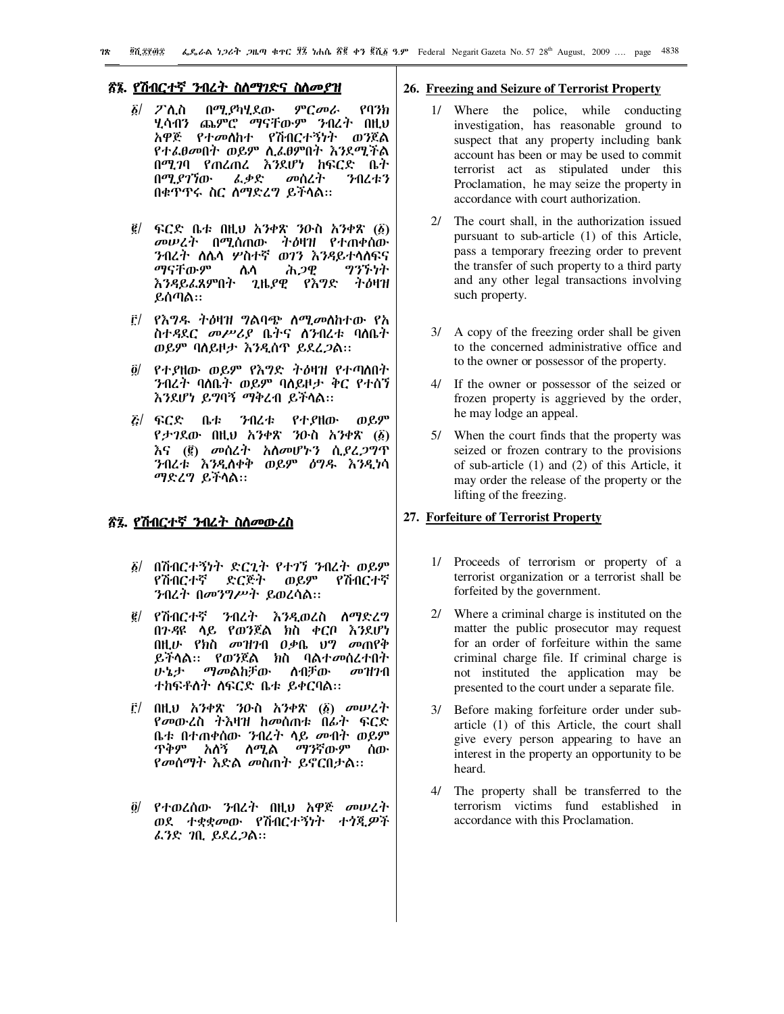## <u>ኛ፮. የሽብርተኛ ንብረት ስስማገድና ስስመያዝ</u>

- የባንክ  $\delta$ /  $\mathcal{T}$ ስ.ስ በማ.ያካሂደው ምርመራ ሂሳብን ጨምሮ ማናቸውም ንብረት በዚህ አዋጅ የተመሰከተ የሽብርተኝነት ወንጀል *የተልፀመ*በት ወይም ሲ*ልፀ*ምበት *እን*ደሚችል በሚገባ የጠረጠረ እንደሆነ ከፍርድ ቤተ በሚያገኘው ፌቃድ መሰረተ ንብረቱን በቁጥጥሩ ስር ስማድረግ ይችላል።
- $\vec{g}$ / ፍርድ ቤቱ በዚህ አንቀጽ ንዑስ አንቀጽ (፩) *መሠረት* በሚሰጠው ተ*ዕ*ዛዝ የተጠቀሰው ንብረት ስሌሳ ሦስተኛ ወገን እንዳይተሳስፍና ማናቸውም ሕ*ጋዊ* ツツブウヤ ሌሳ እንዳይፌጸምበት ጊዜያዊ የእግድ ትዕዛዝ ይሰጣል።
- ፫/ *የእግዱ ትዕ*ዛዝ ግልባጭ ስሚመስከተው የአ *ስተዳ*ደ*ር መሥሪያ* ቤትና ሰንብረቱ ባለቤት ወይም ባለይዞታ እንዲሰዋ ይደረ*ጋ*ል።
- ፬/ የተያዘው ወይም የእግድ ትዕዛዝ የተጣለበት ንብረት ባለቤት ወይም ባለይዞታ ቅር የተሰኘ እንደሆነ ይግባኝ ማቅረብ ይችሳል።
- *ξ|* ፍርድ ቤቱ ንብረቱ የተያዘው ወይም የታገደው በዚህ አንቀጽ ንዑስ አንቀጽ (፩) እና (፪) መሰረት አሰመሆኑን ሲ*ያረጋግ*ጥ ንብረቱ እንዲለቀቅ ወይም ዕግዱ እንዲነሳ ማድረግ ይችላል።

# ኛ፯. የሽብርተኛ ንብረት ስስመውረስ

- ፩/ በሽብርተኝነት ድርጊት የተገኘ ንብረት ወይም የሽብርተኛ ድርጅት ወይም የሽብርተኛ ንብረተ በመንግሥተ ይወረሳል።
- ፪/ የሽብርተኛ ንብረት እንዲወረስ ስማድረግ በንዳዩ ላይ የወንጀል ክስ ቀርቦ እንደሆነ በዚሁ የክስ መዝንብ ዐቃቤ ህግ መጠየቅ ይችላል። የወንጀል ክስ ባልተመሰረተበተ ሁኔታ ማመልከቻው ለብቻው *መዝገ*ብ ተከፍቶስተ ስፍርድ ቤቱ ይቀርባል።
- $\mathbf{f}$ ! በዚህ አንቀጽ ንዑስ አንቀጽ (፩) መሠረት የመውረስ ተእዛዝ ከመሰጠቱ በፊት ፍርድ ቤቱ በተጠቀሰው ንብረት ላይ መብት ወይም ዋቅም አለኝ ለሚል *ማን*ኛውም ሰው *የመስማት እ*ድል *መ*ስጠተ ይኖርበታል፡፡
- <u>ö/ የተወረሰው ንብረት በዚህ አዋጅ መሠረት</u> ወደ ተቋቋመው የሽብርተኝነት ተጎጂዎች *ፌን*ድ *ገ*ቢ ይደረ*ጋ*ል።

#### 26. Freezing and Seizure of Terrorist Property

- 1/ Where the police, while conducting investigation, has reasonable ground to suspect that any property including bank account has been or may be used to commit terrorist act as stipulated under this Proclamation, he may seize the property in accordance with court authorization.
- 2/ The court shall, in the authorization issued pursuant to sub-article (1) of this Article, pass a temporary freezing order to prevent the transfer of such property to a third party and any other legal transactions involving such property.
- 3/ A copy of the freezing order shall be given to the concerned administrative office and to the owner or possessor of the property.
- 4/ If the owner or possessor of the seized or frozen property is aggrieved by the order, he may lodge an appeal.
- 5/ When the court finds that the property was seized or frozen contrary to the provisions of sub-article (1) and (2) of this Article, it may order the release of the property or the lifting of the freezing.

## 27. Forfeiture of Terrorist Property

- 1/ Proceeds of terrorism or property of a terrorist organization or a terrorist shall be forfeited by the government.
- 2/ Where a criminal charge is instituted on the matter the public prosecutor may request for an order of forfeiture within the same criminal charge file. If criminal charge is not instituted the application may be presented to the court under a separate file.
- 3/ Before making forfeiture order under subarticle (1) of this Article, the court shall give every person appearing to have an interest in the property an opportunity to be heard.
- 4/ The property shall be transferred to the terrorism victims fund established in accordance with this Proclamation.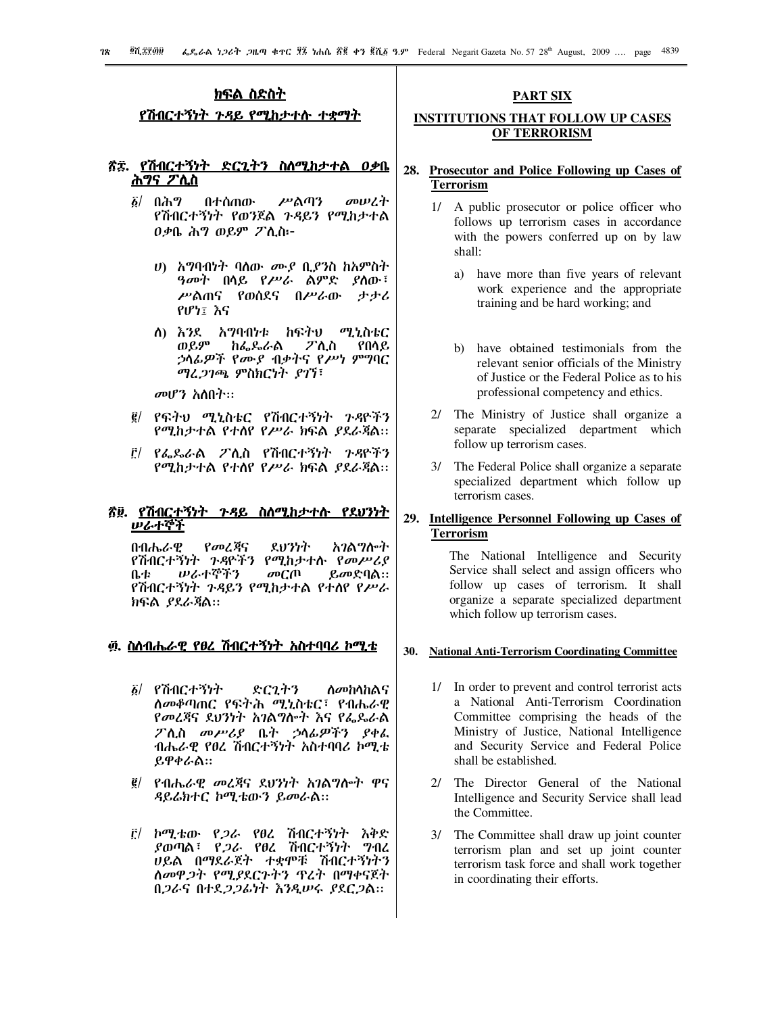## ክፍል ስድስት

<u>የሽብርተኝነት ጉዳይ የሚከታተሱ ተቋማት</u>

#### ጽድ. የሽብርተኝነት <u>ድርጊትን ስለሚከታተል ዐቃቤ</u> <u>ሕግና ፖ</u>ሊስ

- $\delta$ / በሕግ መሠረት በተሰጠው ሥልጣን የሽብርተኝነት የወንጀል ንዳይን የሚከታተል 0ቃቤ ሕግ ወይም ፖሊስ፦
	- *ህ*) አማባብነት ባለው *ሙያ* ቢ*ያን*ስ ከአምስት *ዓመት* በሳይ የ*ሥራ* ልምድ *ያ*ስው፣ ሥልጠና የወሰደና በሥራው ታታሪ የሆነ፤ እና
	- ለ) እንደ አማባብነቱ ከፍትህ ሚኒስቴር ወይም ከፌዶራል ፖሊስ የበሳይ *ኃ*ሳፊ*ዎች የሙያ ብቃት*ና የሥነ ምግባር ማፈ*ጋገጫ* ምስክርነት ያገኘ፣

መሆን አስበት።

- ፪/ የፍትህ ሚኒስቴር የሽብርተኝነት ጉዳዮችን የሚከታተል የተሰየ የሥራ ክፍል ያደራጃል።
- ፫/ የፌጼራል ፖሊስ የሽብርተኝነት *ጉዳ*ዮችን የሚከታተል የተሰየ የሥራ ክፍል ያደራጃል።

# ኛ፱. የሽብርተኝነት ጉዳይ ስለሚከታተሉ የደህንነት ルራተኞች

በብሔራዊ የመረጃና ደህንነት አገልግሎት የሽብርተኝነት ጉዳዮችን የሚከታተሱ የመሥሪያ ルራተኞችን ቤቲ መርጠ ይመድባል። የሽብርተኝነት ጉዳይን የሚከታተል የተለየ የሥራ ክፍል *ያ*ደራጃል።

# <u>፴. ስስብሔራዊ የፀረ ሽብርተኝነት አስተባባሪ ኮሚቴ</u>

- ፩/ የሽብርተኝነት ድርጊትን ስመከሳከልና ስመቆጣጠር የፍትሕ ሚኒስቴር፣ የብሔራዊ የመረጃና ደህንነት አገልግሎት እና የፌዶራል ፖሊስ መሥሪያ ቤት ኃላፊዎችን ያቀፌ ብሔራዊ የፀረ ሽብርተኝነት አስተባባሪ ኮሚቴ ይዋቀራል።
- ፪/ የብሔራዊ መረጃና ደህንነት አገልግሎት ዋና ዳይሬክተር ኮሚቴውን ይመራል።
- ቮ/ ኮሚቴው የ*ጋ*ራ የፀረ ሽብርተኝነት እቅድ *ያ*ወጣል፣ የ*ጋራ* የፀረ ሽብርተኝነት ግብረ ሀይል በማደራጀት ተቋሞቹ ሽብርተኝነትን ስመዋ*ጋት የሚያ*ደርጉትን ጥረት በማቀናጀት በ*ጋ*ራና በተደ*ጋጋ*ፊነት እንዲሠሩ ያደር*ጋ*ል።

# **PART SIX**

# **INSTITUTIONS THAT FOLLOW UP CASES** OF TERRORISM

# 28. Prosecutor and Police Following up Cases of **Terrorism**

- 1/ A public prosecutor or police officer who follows up terrorism cases in accordance with the powers conferred up on by law shall:
	- a) have more than five years of relevant work experience and the appropriate training and be hard working; and
	- b) have obtained testimonials from the relevant senior officials of the Ministry of Justice or the Federal Police as to his professional competency and ethics.
- 2/ The Ministry of Justice shall organize a separate specialized department which follow up terrorism cases.
- 3/ The Federal Police shall organize a separate specialized department which follow up terrorism cases.

## 29. Intelligence Personnel Following up Cases of **Terrorism**

The National Intelligence and Security Service shall select and assign officers who follow up cases of terrorism. It shall organize a separate specialized department which follow up terrorism cases.

#### 30. National Anti-Terrorism Coordinating Committee

- 1/ In order to prevent and control terrorist acts a National Anti-Terrorism Coordination Committee comprising the heads of the Ministry of Justice, National Intelligence and Security Service and Federal Police shall be established.
- 2/ The Director General of the National Intelligence and Security Service shall lead the Committee.
- 3/ The Committee shall draw up joint counter terrorism plan and set up joint counter terrorism task force and shall work together in coordinating their efforts.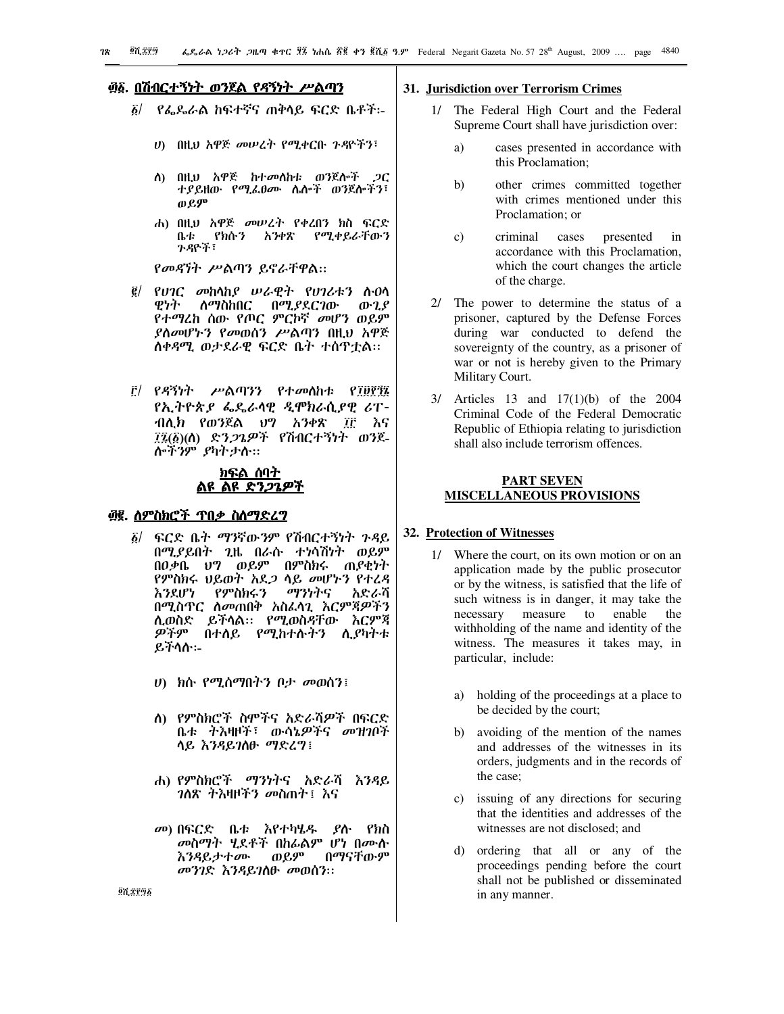# ፴፩. በሽብርተኝነት ወንጀል የዳኝነት ሥልጣን

- ፩/ የፌጼራል ከፍተኛና ጠቅሳይ ፍርድ ቤቶች፡-
	- ሀ) በዚህ አዋጅ መሠረት የሚቀርቡ ጉዳዮችን፣
	- ስ) በዚህ አዋጅ ከተመሰከቱ ወንጀሎች *ጋ*ር ተያይዘው የሚፌፀሙ ሴሎች ወንጀሎችን፣ ወይም
	- ሐ) በዚህ አዋጅ መሠረት የቀረበን ክስ ፍርድ የክሱን አንቀጽ የሚቀይራቸውን ቤቱ ንዳዮች፣

የመዳኘት ሥልጣን ይኖራቸዋል።

- ፪/ የሀገር መከሳከያ ሠራዊት የሀገሪቱን ሱዐሳ ዊነት ለማስከበር በሚ*ያ*ደርገው ውጊያ የተማረከ ሰው የጦር ምርኮኛ መሆን ወይም ያስመሆኑን የመወሰን ሥልጣን በዚህ አዋጅ ስቀዳሚ ወታደራዊ ፍርድ ቤት ተሰዋቷል።
- ቮ/ የዳኝነት ሥልጣንን የተመለከቱ የ፲፱፻፺፯ *የኢትዮጵያ ፌ*ዴራሳዊ *ዲ*ሞክራሲያዊ ሪፐ-ብሊክ የወንጀል ህግ አንቀጽ ፲፫ እና ፲፯(፩)(ስ) ድን*ጋጌዎች* የሽብርተኝነት ወንጀ-ሎችንም ያካትታሱ።

## ክፍል ሰባት <u>ልዩ ልዩ ድን*ጋጌ*ዎች</u>

## <u>፴፪. ለምስክሮች ጥበቃ ስለማድረግ</u>

- ፍርድ ቤት ማንኛውንም የሽብርተኝነት ጉዳይ  $\delta$ / በሚያይበት ጊዜ በራሱ ተነሳሽነት ወይም በዐቃቤ ህግ ወይም በምስክሩ ጠያቂነት የምስክሩ ህይወት አደ*ጋ* ሳይ መሆኑን የተረዳ እንደሆነ የምስክሩን ማንነትና አድራሻ በሚስጥር ስመጠበቅ አስፌሳጊ እርምጃዎችን ሊወስድ ይችላል። የሚወስዳቸው እርምጃ ዎችም በተለይ የሚከተሱትን ሊያካተቱ ይችሳሱ፡-
	- ሀ) ክሱ የሚሰማበትን ቦታ መወሰን፤
	- ስ) የምስክሮች ስሞችና አድራሻዎች በፍርድ ቤቱ ትእዛዞች፣ ውሳኔዎችና መዝንቦች ሳይ እንዳይገለው ማድረግ፤
	- ሐ) የምስክሮች ማንነትና አድራሻ እንዳይ *ገ*ለጽ ትእዛዞችን መስጠት፤ እና
	- መ) በፍርድ ቤቱ እየተካሄዱ ያሉ የክስ *መ*ስማት ሂደቶች በከፊልም ሆነ በሙሱ ወይም በማናቸውም እንዳይታተ*ሙ* መንገድ እንዳይገለው መወሰን።

#### 31. Jurisdiction over Terrorism Crimes

- 1/ The Federal High Court and the Federal Supreme Court shall have jurisdiction over:
	- a) cases presented in accordance with this Proclamation:
	- b) other crimes committed together with crimes mentioned under this Proclamation; or
	- criminal  $c)$ cases presented  $in$ accordance with this Proclamation, which the court changes the article of the charge.
- 2/ The power to determine the status of a prisoner, captured by the Defense Forces during war conducted to defend the sovereignty of the country, as a prisoner of war or not is hereby given to the Primary Military Court.
- $3/$  Articles 13 and 17(1)(b) of the 2004 Criminal Code of the Federal Democratic Republic of Ethiopia relating to jurisdiction shall also include terrorism offences.

# **PART SEVEN MISCELLANEOUS PROVISIONS**

#### 32. Protection of Witnesses

- 1/ Where the court, on its own motion or on an application made by the public prosecutor or by the witness, is satisfied that the life of such witness is in danger, it may take the necessary measure to enable the withholding of the name and identity of the witness. The measures it takes may, in particular, include:
	- a) holding of the proceedings at a place to be decided by the court;
	- b) avoiding of the mention of the names and addresses of the witnesses in its orders, judgments and in the records of the case;
	- c) issuing of any directions for securing that the identities and addresses of the witnesses are not disclosed: and
	- d) ordering that all or any of the proceedings pending before the court shall not be published or disseminated in any manner.

07.3896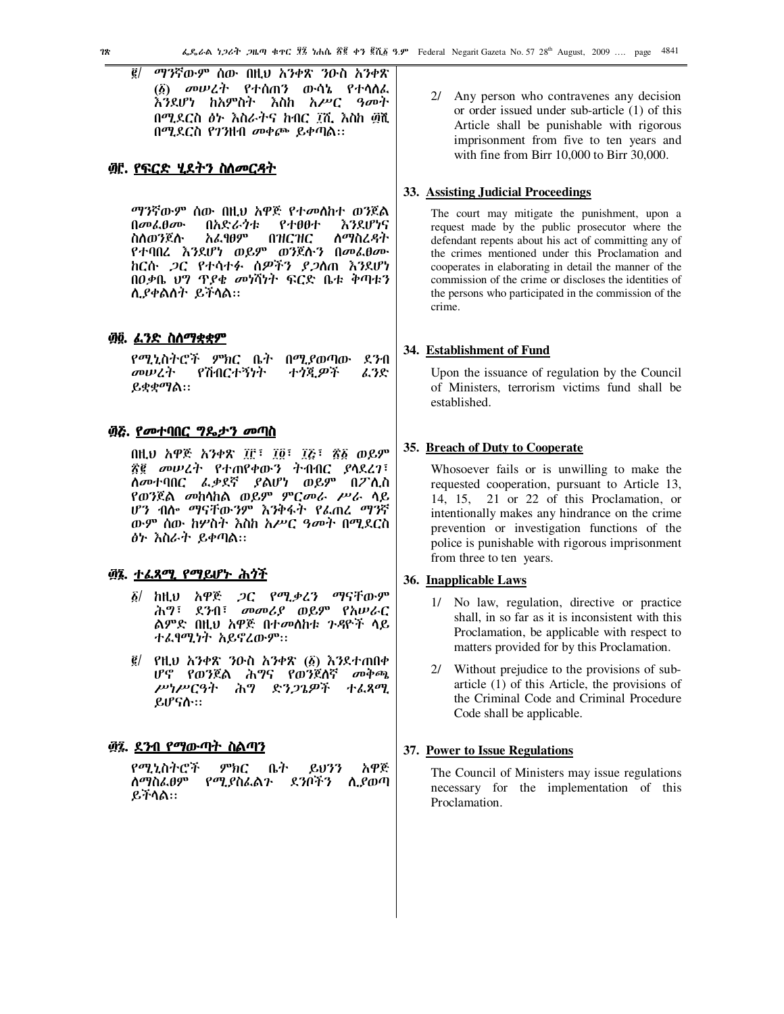ማንኛውም ሰው በዚህ አንቀጽ ንዑስ አንቀጽ  $\ddot{e}$ (፩) መሠረት የተሰጠን ውሳኔ የተሳሰፌ እንደሆነ ከአምስት እስከ አሥር *ዓመ*ተ በሚደርስ ፅ৮ እስራትና ከብር ፲ሺ እስከ ፴ሺ በሚደርስ የገንዘብ መቀጮ ይቀጣል።

## <u>፴፫. የፍርድ ሂደትን ስስመርዳት</u>

*ግን*ኛውም ሰው በዚህ አዋጅ የተ*መ*ስከተ ወንጀል  $0$ <sub>a</sub>  $0$ <sub>a</sub>  $0$ <sub>a</sub>  $0$ <sub>a</sub>  $0$ <sub>a</sub>  $0$ <sub>a</sub>  $0$ <sub>a</sub>  $0$ <sub>a</sub>  $0$ <sub>a</sub>  $0$ <sub>a</sub>  $0$ <sub>a</sub>  $0$ <sub>a</sub>  $0$ <sub>a</sub>  $0$ <sub>a</sub>  $0$ <sub>a</sub>  $0$ <sub>a</sub>  $0$ <sub>a</sub>  $0$ <sub>a</sub>  $0$ <sub>a</sub>  $0$ <sub>a</sub>  $0$ <sub>a</sub>  $0$ <sub>a</sub>  $0$ <sub>a</sub>  $0$ <sub>a</sub>  $0$ <sub>a</sub>  $0$ <sub>a</sub>  $0$ <sub>a</sub>  $0$ <sub>a</sub>  $0$ <sub>a</sub>  $0$ <sub>a</sub>  $0$ <sub>a</sub>  $0$ <sub></sub> በአድራንቱ የተፀፀተ እንደሆነና አፌፃፀም ስስወንጀስ **NHCHC** ስማስረዳት የተባበረ እንደሆነ ወይም ወንጀሱን በመፌፀሙ ከርሱ *ጋ*ር የተሳተፉ ሰ*ዎችን ያጋ*ስጠ እንደሆነ በዐቃቤ ህግ ጥያቄ መነሻነት ፍርድ ቤቱ ቅጣቱን ሲያቀልስት ይችላል።

## <u>፴፬. ፈንድ ስስማቋቋም</u>

 $270$ የሚኒስትሮች ምክር ቤት በሚያወጣው መሠረት የሽብርተኝነት ተጎጂዎች ፌንድ ይቋቋማል።

## ፴ሯ. <u>የመተባበር ግዴታን መጣ</u>ስ

በዚህ አዋጅ አንቀጽ ፲፫፣ ፲፬፣ ፲፭፣ ፳፩ ወይም ፳፪ መሠረት የተጠየቀውን ትብብር ያላደረገ፣ ለመተባበር ፌቃደኛ ያልሆነ ወይም በፖሊስ የወንጀል *መ*ከላከል ወይም ምር*መራ ሥራ* ሳይ ሆን ብሎ ማናቸውንም እንቅፋት የፌጠረ ማንኛ ውም ሰው ከሦስት እስከ አሥር ዓመት በሚደርስ ፅኮ እስራት ይቀጣል።

#### <u>፴፮. ተሬጻሚ የማይሆኑ ሕጎች</u>

- *ጋ*ር የሚቃረን ማናቸውም ከዚህ አዋጅ  $\delta$ / ሕግ፣ ደንብ፣ መመሪያ ወይም የአሠራር ልምድ በዚህ አዋጅ በተመሰከቱ ጉዳዮች ሳይ ተፈፃሚነት አይኖረውም፡፡
- ፪/ የዚህ አንቀጽ ንዑስ አንቀጽ (፩) እንደተጠበቀ ሆኖ የወንጀል ሕግና የወንጀለኛ መቅጫ ሥነሥርዓት ሕግ ድንጋጌዎች ተልጻሚ ይሆናሱ።

# <u>፴፯. ደንብ የማውጣት ስልጣን</u>

የሚኒስትሮች  $P<sup>b</sup>$ n $C$ ቤት አዋጅ  $8033$ ስማስፌፀም የሚያስፌልን ደንቦችን ሲያወጣ ይችሳል።

2/ Any person who contravenes any decision or order issued under sub-article (1) of this Article shall be punishable with rigorous imprisonment from five to ten years and with fine from Birr 10,000 to Birr 30,000.

## 33. Assisting Judicial Proceedings

The court may mitigate the punishment, upon a request made by the public prosecutor where the defendant repents about his act of committing any of the crimes mentioned under this Proclamation and cooperates in elaborating in detail the manner of the commission of the crime or discloses the identities of the persons who participated in the commission of the crime.

## 34. Establishment of Fund

Upon the issuance of regulation by the Council of Ministers, terrorism victims fund shall be established.

# 35. Breach of Duty to Cooperate

Whosoever fails or is unwilling to make the requested cooperation, pursuant to Article 13, 14, 15, 21 or 22 of this Proclamation, or intentionally makes any hindrance on the crime prevention or investigation functions of the police is punishable with rigorous imprisonment from three to ten years.

## 36. Inapplicable Laws

- No law, regulation, directive or practice  $1/\sqrt{2}$ shall, in so far as it is inconsistent with this Proclamation, be applicable with respect to matters provided for by this Proclamation.
- 2/ Without prejudice to the provisions of subarticle (1) of this Article, the provisions of the Criminal Code and Criminal Procedure Code shall be applicable.

#### 37. Power to Issue Regulations

The Council of Ministers may issue regulations necessary for the implementation of this Proclamation.